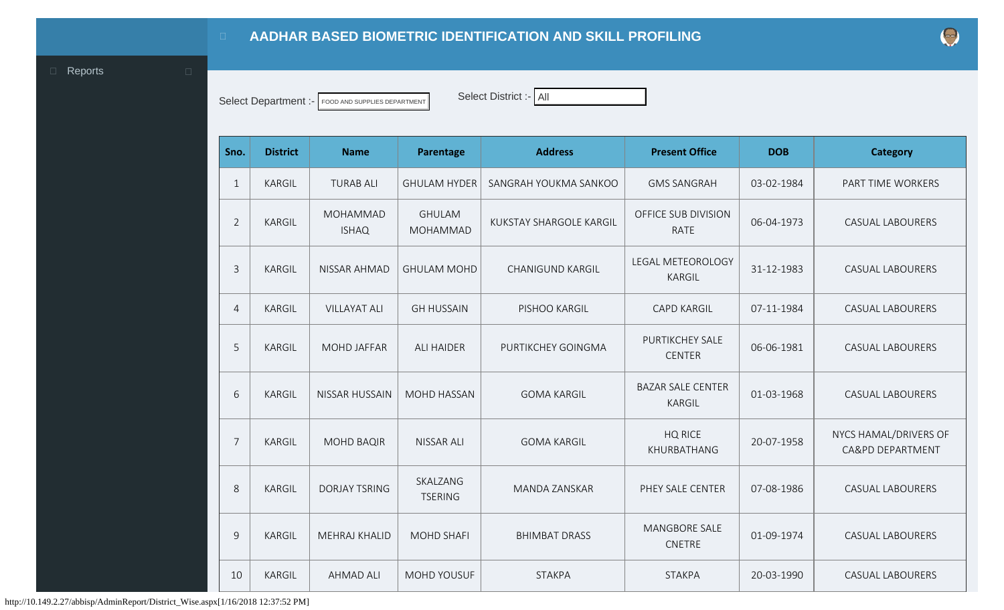<span id="page-0-0"></span>

Select Department :- FOOD AND SUPPLIES DEPARTMENT Select District :- All

| Sno.           | <b>District</b> | <b>Name</b>              | Parentage                  | <b>Address</b>                 | <b>Present Office</b>                     | <b>DOB</b> | <b>Category</b>                           |
|----------------|-----------------|--------------------------|----------------------------|--------------------------------|-------------------------------------------|------------|-------------------------------------------|
| $\mathbf{1}$   | KARGIL          | <b>TURAB ALI</b>         | <b>GHULAM HYDER</b>        | SANGRAH YOUKMA SANKOO          | <b>GMS SANGRAH</b>                        | 03-02-1984 | PART TIME WORKERS                         |
| $\overline{2}$ | <b>KARGIL</b>   | MOHAMMAD<br><b>ISHAQ</b> | <b>GHULAM</b><br>MOHAMMAD  | <b>KUKSTAY SHARGOLE KARGIL</b> | OFFICE SUB DIVISION<br><b>RATE</b>        | 06-04-1973 | <b>CASUAL LABOURERS</b>                   |
| $\overline{3}$ | <b>KARGIL</b>   | NISSAR AHMAD             | <b>GHULAM MOHD</b>         | <b>CHANIGUND KARGIL</b>        | LEGAL METEOROLOGY<br>KARGIL               | 31-12-1983 | <b>CASUAL LABOURERS</b>                   |
| 4              | <b>KARGIL</b>   | <b>VILLAYAT ALI</b>      | <b>GH HUSSAIN</b>          | PISHOO KARGIL                  | <b>CAPD KARGIL</b>                        | 07-11-1984 | <b>CASUAL LABOURERS</b>                   |
| 5              | <b>KARGIL</b>   | <b>MOHD JAFFAR</b>       | <b>ALI HAIDER</b>          | PURTIKCHEY GOINGMA             | <b>PURTIKCHEY SALE</b><br><b>CENTER</b>   | 06-06-1981 | <b>CASUAL LABOURERS</b>                   |
| 6              | <b>KARGIL</b>   | NISSAR HUSSAIN           | MOHD HASSAN                | <b>GOMA KARGIL</b>             | <b>BAZAR SALE CENTER</b><br><b>KARGIL</b> | 01-03-1968 | <b>CASUAL LABOURERS</b>                   |
| $\overline{7}$ | <b>KARGIL</b>   | <b>MOHD BAQIR</b>        | <b>NISSAR ALI</b>          | <b>GOMA KARGIL</b>             | <b>HQ RICE</b><br>KHURBATHANG             | 20-07-1958 | NYCS HAMAL/DRIVERS OF<br>CA&PD DEPARTMENT |
| 8              | <b>KARGIL</b>   | <b>DORJAY TSRING</b>     | SKALZANG<br><b>TSERING</b> | <b>MANDA ZANSKAR</b>           | PHEY SALE CENTER                          | 07-08-1986 | <b>CASUAL LABOURERS</b>                   |
| 9              | <b>KARGIL</b>   | <b>MEHRAJ KHALID</b>     | <b>MOHD SHAFI</b>          | <b>BHIMBAT DRASS</b>           | <b>MANGBORE SALE</b><br><b>CNETRE</b>     | 01-09-1974 | <b>CASUAL LABOURERS</b>                   |
| 10             | <b>KARGIL</b>   | <b>AHMAD ALI</b>         | <b>MOHD YOUSUF</b>         | <b>STAKPA</b>                  | <b>STAKPA</b>                             | 20-03-1990 | <b>CASUAL LABOURERS</b>                   |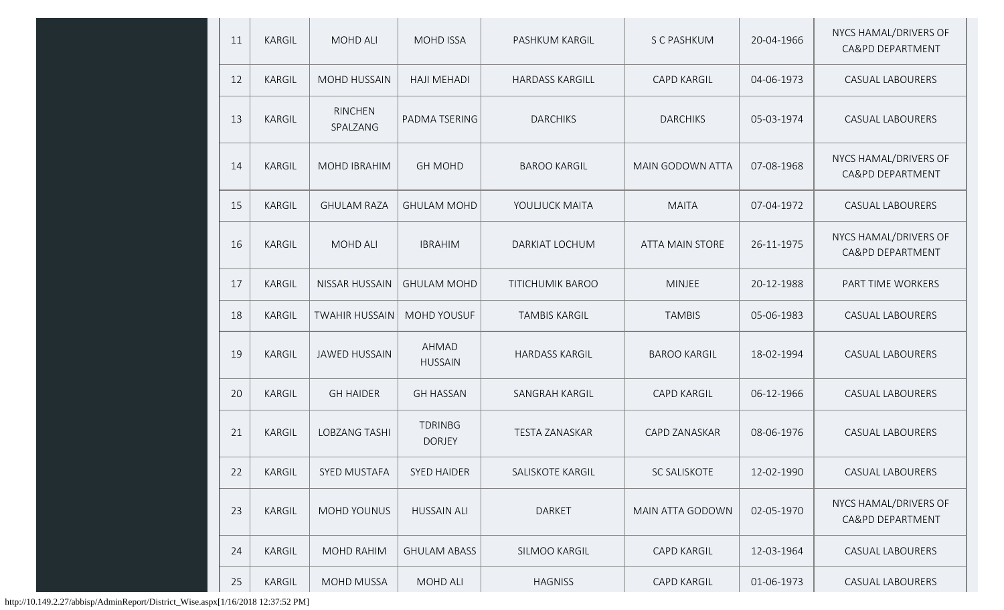| 11 | KARGIL        | MOHD ALI                   | <b>MOHD ISSA</b>                | PASHKUM KARGIL          | S C PASHKUM            | 20-04-1966 | NYCS HAMAL/DRIVERS OF                     |
|----|---------------|----------------------------|---------------------------------|-------------------------|------------------------|------------|-------------------------------------------|
|    |               |                            |                                 |                         |                        |            | CA&PD DEPARTMENT                          |
| 12 | <b>KARGIL</b> | <b>MOHD HUSSAIN</b>        | <b>HAJI MEHADI</b>              | <b>HARDASS KARGILL</b>  | <b>CAPD KARGIL</b>     | 04-06-1973 | <b>CASUAL LABOURERS</b>                   |
| 13 | KARGIL        | <b>RINCHEN</b><br>SPALZANG | PADMA TSERING                   | <b>DARCHIKS</b>         | <b>DARCHIKS</b>        | 05-03-1974 | <b>CASUAL LABOURERS</b>                   |
| 14 | KARGIL        | MOHD IBRAHIM               | <b>GH MOHD</b>                  | <b>BAROO KARGIL</b>     | MAIN GODOWN ATTA       | 07-08-1968 | NYCS HAMAL/DRIVERS OF<br>CA&PD DEPARTMENT |
| 15 | KARGIL        | <b>GHULAM RAZA</b>         | <b>GHULAM MOHD</b>              | YOULJUCK MAITA          | <b>MAITA</b>           | 07-04-1972 | <b>CASUAL LABOURERS</b>                   |
| 16 | KARGIL        | MOHD ALI                   | <b>IBRAHIM</b>                  | DARKIAT LOCHUM          | <b>ATTA MAIN STORE</b> | 26-11-1975 | NYCS HAMAL/DRIVERS OF<br>CA&PD DEPARTMENT |
| 17 | <b>KARGIL</b> | <b>NISSAR HUSSAIN</b>      | <b>GHULAM MOHD</b>              | <b>TITICHUMIK BAROO</b> | <b>MINJEE</b>          | 20-12-1988 | PART TIME WORKERS                         |
| 18 | KARGIL        | <b>TWAHIR HUSSAIN</b>      | MOHD YOUSUF                     | <b>TAMBIS KARGIL</b>    | <b>TAMBIS</b>          | 05-06-1983 | <b>CASUAL LABOURERS</b>                   |
| 19 | KARGIL        | <b>JAWED HUSSAIN</b>       | AHMAD<br><b>HUSSAIN</b>         | <b>HARDASS KARGIL</b>   | <b>BAROO KARGIL</b>    | 18-02-1994 | <b>CASUAL LABOURERS</b>                   |
| 20 | KARGIL        | <b>GH HAIDER</b>           | <b>GH HASSAN</b>                | SANGRAH KARGIL          | <b>CAPD KARGIL</b>     | 06-12-1966 | <b>CASUAL LABOURERS</b>                   |
| 21 | KARGIL        | <b>LOBZANG TASHI</b>       | <b>TDRINBG</b><br><b>DORJEY</b> | <b>TESTA ZANASKAR</b>   | CAPD ZANASKAR          | 08-06-1976 | <b>CASUAL LABOURERS</b>                   |
| 22 | KARGIL        | SYED MUSTAFA               | <b>SYED HAIDER</b>              | SALISKOTE KARGIL        | SC SALISKOTE           | 12-02-1990 | <b>CASUAL LABOURERS</b>                   |
| 23 | KARGIL        | MOHD YOUNUS                | <b>HUSSAIN ALI</b>              | DARKET                  | MAIN ATTA GODOWN       | 02-05-1970 | NYCS HAMAL/DRIVERS OF<br>CA&PD DEPARTMENT |
| 24 | KARGIL        | MOHD RAHIM                 | <b>GHULAM ABASS</b>             | SILMOO KARGIL           | CAPD KARGIL            | 12-03-1964 | <b>CASUAL LABOURERS</b>                   |
| 25 | KARGIL        | MOHD MUSSA                 | <b>MOHD ALI</b>                 | <b>HAGNISS</b>          | CAPD KARGIL            | 01-06-1973 | CASUAL LABOURERS                          |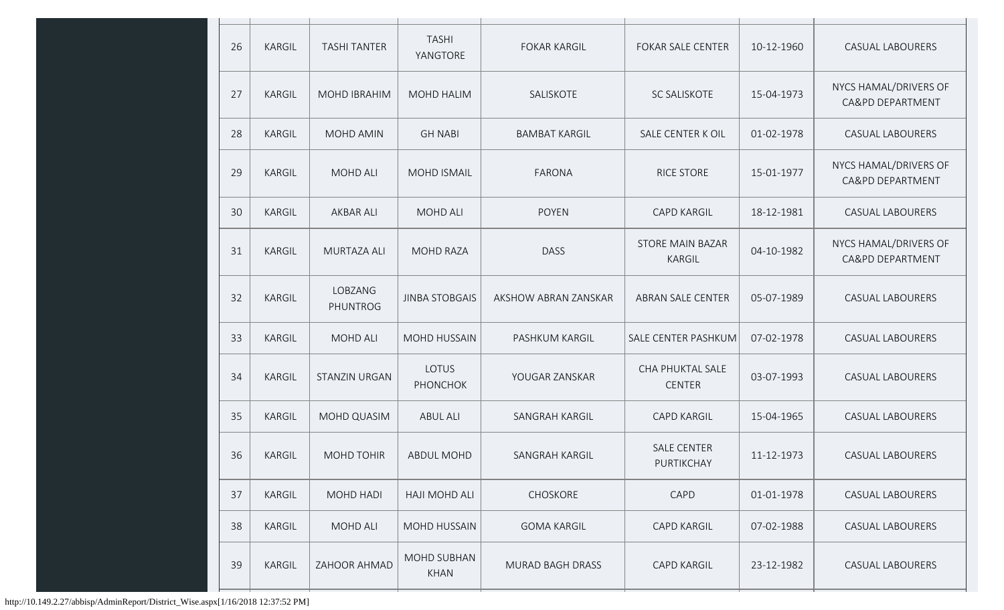| 26 | KARGIL        | <b>TASHI TANTER</b> | <b>TASHI</b><br>YANGTORE   | <b>FOKAR KARGIL</b>     | <b>FOKAR SALE CENTER</b>          | 10-12-1960 | CASUAL LABOURERS                          |
|----|---------------|---------------------|----------------------------|-------------------------|-----------------------------------|------------|-------------------------------------------|
| 27 | KARGIL        | MOHD IBRAHIM        | <b>MOHD HALIM</b>          | SALISKOTE               | SC SALISKOTE                      | 15-04-1973 | NYCS HAMAL/DRIVERS OF<br>CA&PD DEPARTMENT |
| 28 | KARGIL        | MOHD AMIN           | <b>GH NABI</b>             | <b>BAMBAT KARGIL</b>    | SALE CENTER K OIL                 | 01-02-1978 | CASUAL LABOURERS                          |
| 29 | KARGIL        | MOHD ALI            | <b>MOHD ISMAIL</b>         | <b>FARONA</b>           | RICE STORE                        | 15-01-1977 | NYCS HAMAL/DRIVERS OF<br>CA&PD DEPARTMENT |
| 30 | KARGIL        | <b>AKBAR ALI</b>    | <b>MOHD ALI</b>            | <b>POYEN</b>            | <b>CAPD KARGIL</b>                | 18-12-1981 | CASUAL LABOURERS                          |
| 31 | KARGIL        | MURTAZA ALI         | <b>MOHD RAZA</b>           | <b>DASS</b>             | <b>STORE MAIN BAZAR</b><br>KARGIL | 04-10-1982 | NYCS HAMAL/DRIVERS OF<br>CA&PD DEPARTMENT |
| 32 | KARGIL        | LOBZANG<br>PHUNTROG | <b>JINBA STOBGAIS</b>      | AKSHOW ABRAN ZANSKAR    | ABRAN SALE CENTER                 | 05-07-1989 | CASUAL LABOURERS                          |
| 33 | KARGIL        | <b>MOHD ALI</b>     | MOHD HUSSAIN               | PASHKUM KARGIL          | SALE CENTER PASHKUM               | 07-02-1978 | CASUAL LABOURERS                          |
| 34 | KARGIL        | STANZIN URGAN       | LOTUS<br><b>PHONCHOK</b>   | YOUGAR ZANSKAR          | CHA PHUKTAL SALE<br><b>CENTER</b> | 03-07-1993 | CASUAL LABOURERS                          |
| 35 | KARGIL        | MOHD QUASIM         | <b>ABUL ALI</b>            | SANGRAH KARGIL          | <b>CAPD KARGIL</b>                | 15-04-1965 | <b>CASUAL LABOURERS</b>                   |
| 36 | KARGIL        | MOHD TOHIR          | <b>ABDUL MOHD</b>          | SANGRAH KARGIL          | <b>SALE CENTER</b><br>PURTIKCHAY  | 11-12-1973 | CASUAL LABOURERS                          |
| 37 | KARGIL        | MOHD HADI           | HAJI MOHD ALI              | <b>CHOSKORE</b>         | CAPD                              | 01-01-1978 | <b>CASUAL LABOURERS</b>                   |
| 38 | KARGIL        | <b>MOHD ALI</b>     | MOHD HUSSAIN               | <b>GOMA KARGIL</b>      | <b>CAPD KARGIL</b>                | 07-02-1988 | <b>CASUAL LABOURERS</b>                   |
| 39 | <b>KARGIL</b> | ZAHOOR AHMAD        | MOHD SUBHAN<br><b>KHAN</b> | <b>MURAD BAGH DRASS</b> | <b>CAPD KARGIL</b>                | 23-12-1982 | <b>CASUAL LABOURERS</b>                   |
|    |               |                     |                            |                         |                                   |            |                                           |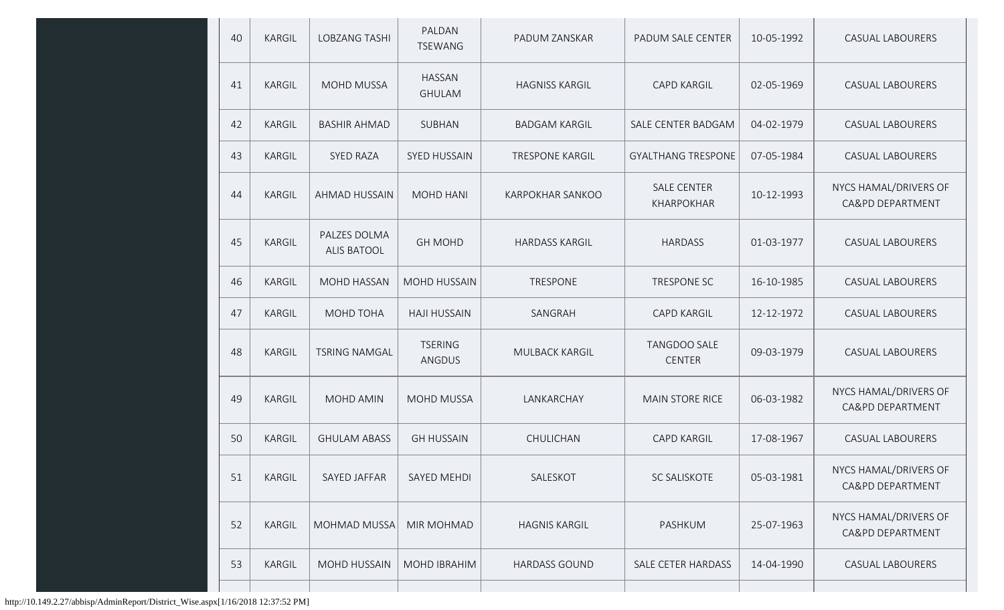| 40 | KARGIL        | <b>LOBZANG TASHI</b>               | PALDAN<br><b>TSEWANG</b>        | PADUM ZANSKAR           | PADUM SALE CENTER                | 10-05-1992 | <b>CASUAL LABOURERS</b>                   |
|----|---------------|------------------------------------|---------------------------------|-------------------------|----------------------------------|------------|-------------------------------------------|
| 41 | KARGIL        | <b>MOHD MUSSA</b>                  | <b>HASSAN</b><br><b>GHULAM</b>  | <b>HAGNISS KARGIL</b>   | <b>CAPD KARGIL</b>               | 02-05-1969 | <b>CASUAL LABOURERS</b>                   |
| 42 | KARGIL        | <b>BASHIR AHMAD</b>                | SUBHAN                          | <b>BADGAM KARGIL</b>    | SALE CENTER BADGAM               | 04-02-1979 | <b>CASUAL LABOURERS</b>                   |
| 43 | KARGIL        | <b>SYED RAZA</b>                   | <b>SYED HUSSAIN</b>             | <b>TRESPONE KARGIL</b>  | <b>GYALTHANG TRESPONE</b>        | 07-05-1984 | <b>CASUAL LABOURERS</b>                   |
| 44 | <b>KARGIL</b> | AHMAD HUSSAIN                      | MOHD HANI                       | <b>KARPOKHAR SANKOO</b> | <b>SALE CENTER</b><br>KHARPOKHAR | 10-12-1993 | NYCS HAMAL/DRIVERS OF<br>CA&PD DEPARTMENT |
| 45 | KARGIL        | PALZES DOLMA<br><b>ALIS BATOOL</b> | <b>GH MOHD</b>                  | <b>HARDASS KARGIL</b>   | <b>HARDASS</b>                   | 01-03-1977 | <b>CASUAL LABOURERS</b>                   |
| 46 | KARGIL        | <b>MOHD HASSAN</b>                 | <b>MOHD HUSSAIN</b>             | TRESPONE                | TRESPONE SC                      | 16-10-1985 | <b>CASUAL LABOURERS</b>                   |
| 47 | KARGIL        | MOHD TOHA                          | <b>HAJI HUSSAIN</b>             | SANGRAH                 | <b>CAPD KARGIL</b>               | 12-12-1972 | <b>CASUAL LABOURERS</b>                   |
| 48 | <b>KARGIL</b> | <b>TSRING NAMGAL</b>               | <b>TSERING</b><br><b>ANGDUS</b> | MULBACK KARGIL          | TANGDOO SALE<br><b>CENTER</b>    | 09-03-1979 | <b>CASUAL LABOURERS</b>                   |
| 49 | KARGIL        | MOHD AMIN                          | <b>MOHD MUSSA</b>               | LANKARCHAY              | MAIN STORE RICE                  | 06-03-1982 | NYCS HAMAL/DRIVERS OF<br>CA&PD DEPARTMENT |
| 50 | KARGIL        | <b>GHULAM ABASS</b>                | <b>GH HUSSAIN</b>               | CHULICHAN               | <b>CAPD KARGIL</b>               | 17-08-1967 | <b>CASUAL LABOURERS</b>                   |
| 51 | KARGIL        | SAYED JAFFAR                       | SAYED MEHDI                     | SALESKOT                | SC SALISKOTE                     | 05-03-1981 | NYCS HAMAL/DRIVERS OF<br>CA&PD DEPARTMENT |
| 52 | KARGIL        | MOHMAD MUSSA                       | MIR MOHMAD                      | <b>HAGNIS KARGIL</b>    | PASHKUM                          | 25-07-1963 | NYCS HAMAL/DRIVERS OF<br>CA&PD DEPARTMENT |
| 53 | KARGIL        | <b>MOHD HUSSAIN</b>                | MOHD IBRAHIM                    | <b>HARDASS GOUND</b>    | SALE CETER HARDASS               | 14-04-1990 | <b>CASUAL LABOURERS</b>                   |
|    |               |                                    |                                 |                         |                                  |            |                                           |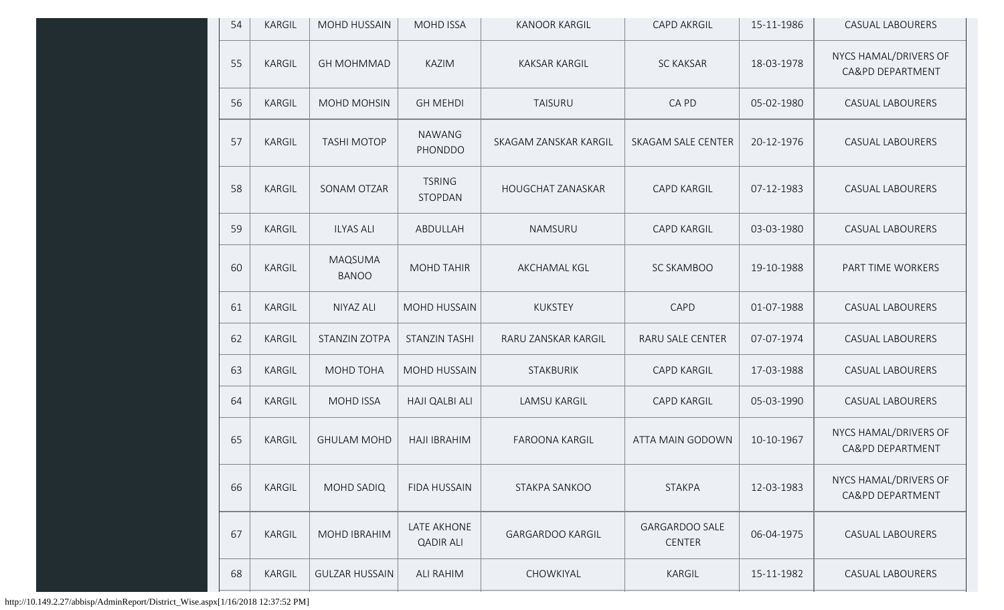| 54 | <b>KARGIL</b> | MOHD HUSSAIN            | <b>MOHD ISSA</b>                | <b>KANOOR KARGIL</b>     | <b>CAPD AKRGIL</b>                     | 15-11-1986 | <b>CASUAL LABOURERS</b>                   |
|----|---------------|-------------------------|---------------------------------|--------------------------|----------------------------------------|------------|-------------------------------------------|
| 55 | KARGIL        | <b>GH MOHMMAD</b>       | <b>KAZIM</b>                    | <b>KAKSAR KARGIL</b>     | <b>SC KAKSAR</b>                       | 18-03-1978 | NYCS HAMAL/DRIVERS OF<br>CA&PD DEPARTMENT |
| 56 | KARGIL        | MOHD MOHSIN             | <b>GH MEHDI</b>                 | <b>TAISURU</b>           | CA PD                                  | 05-02-1980 | <b>CASUAL LABOURERS</b>                   |
| 57 | KARGIL        | <b>TASHI MOTOP</b>      | <b>NAWANG</b><br>PHONDDO        | SKAGAM ZANSKAR KARGIL    | SKAGAM SALE CENTER                     | 20-12-1976 | <b>CASUAL LABOURERS</b>                   |
| 58 | KARGIL        | SONAM OTZAR             | <b>TSRING</b><br>STOPDAN        | <b>HOUGCHAT ZANASKAR</b> | <b>CAPD KARGIL</b>                     | 07-12-1983 | <b>CASUAL LABOURERS</b>                   |
| 59 | KARGIL        | <b>ILYAS ALI</b>        | ABDULLAH                        | NAMSURU                  | <b>CAPD KARGIL</b>                     | 03-03-1980 | <b>CASUAL LABOURERS</b>                   |
| 60 | KARGIL        | MAQSUMA<br><b>BANOO</b> | <b>MOHD TAHIR</b>               | AKCHAMAL KGL             | SC SKAMBOO                             | 19-10-1988 | PART TIME WORKERS                         |
| 61 | KARGIL        | NIYAZ ALI               | MOHD HUSSAIN                    | <b>KUKSTEY</b>           | CAPD                                   | 01-07-1988 | <b>CASUAL LABOURERS</b>                   |
| 62 | KARGIL        | <b>STANZIN ZOTPA</b>    | <b>STANZIN TASHI</b>            | RARU ZANSKAR KARGIL      | RARU SALE CENTER                       | 07-07-1974 | <b>CASUAL LABOURERS</b>                   |
| 63 | KARGIL        | MOHD TOHA               | MOHD HUSSAIN                    | STAKBURIK                | <b>CAPD KARGIL</b>                     | 17-03-1988 | <b>CASUAL LABOURERS</b>                   |
| 64 | KARGIL        | <b>MOHD ISSA</b>        | HAJI QALBI ALI                  | <b>LAMSU KARGIL</b>      | <b>CAPD KARGIL</b>                     | 05-03-1990 | <b>CASUAL LABOURERS</b>                   |
| 65 | KARGIL        | <b>GHULAM MOHD</b>      | <b>HAJI IBRAHIM</b>             | <b>FAROONA KARGIL</b>    | ATTA MAIN GODOWN                       | 10-10-1967 | NYCS HAMAL/DRIVERS OF<br>CA&PD DEPARTMENT |
| 66 | KARGIL        | MOHD SADIQ              | FIDA HUSSAIN                    | STAKPA SANKOO            | <b>STAKPA</b>                          | 12-03-1983 | NYCS HAMAL/DRIVERS OF<br>CA&PD DEPARTMENT |
| 67 | KARGIL        | MOHD IBRAHIM            | LATE AKHONE<br><b>QADIR ALI</b> | <b>GARGARDOO KARGIL</b>  | <b>GARGARDOO SALE</b><br><b>CENTER</b> | 06-04-1975 | <b>CASUAL LABOURERS</b>                   |
| 68 | KARGIL        | <b>GULZAR HUSSAIN</b>   | ALI RAHIM                       | CHOWKIYAL                | KARGIL                                 | 15-11-1982 | <b>CASUAL LABOURERS</b>                   |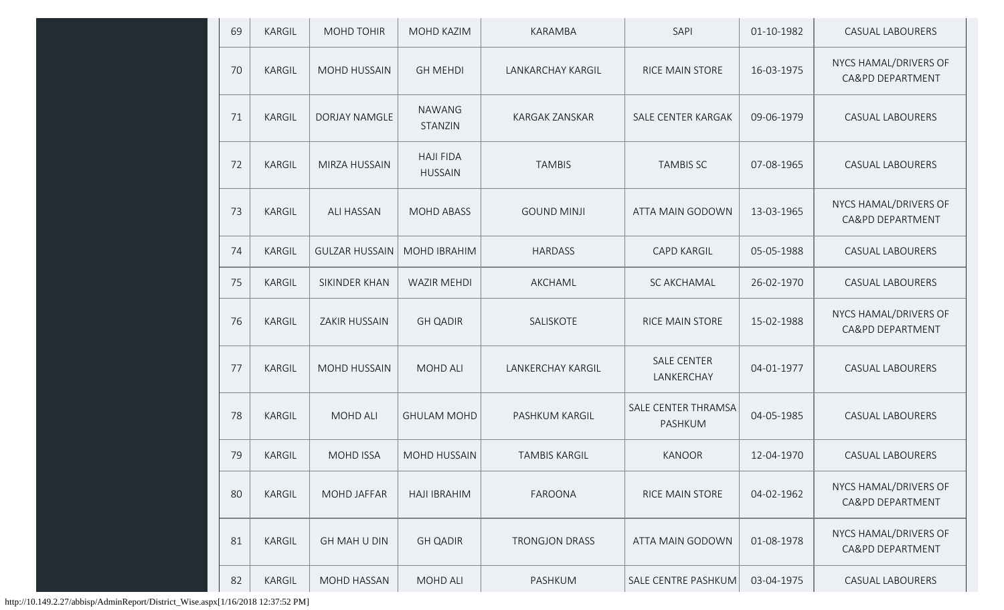| 69 | KARGIL        | MOHD TOHIR            | MOHD KAZIM                         | KARAMBA                  | SAPI                             | 01-10-1982 | <b>CASUAL LABOURERS</b>                   |
|----|---------------|-----------------------|------------------------------------|--------------------------|----------------------------------|------------|-------------------------------------------|
| 70 | KARGIL        | MOHD HUSSAIN          | <b>GH MEHDI</b>                    | LANKARCHAY KARGIL        | <b>RICE MAIN STORE</b>           | 16-03-1975 | NYCS HAMAL/DRIVERS OF<br>CA&PD DEPARTMENT |
| 71 | <b>KARGIL</b> | <b>DORJAY NAMGLE</b>  | <b>NAWANG</b><br>STANZIN           | KARGAK ZANSKAR           | SALE CENTER KARGAK               | 09-06-1979 | <b>CASUAL LABOURERS</b>                   |
| 72 | <b>KARGIL</b> | MIRZA HUSSAIN         | <b>HAJI FIDA</b><br><b>HUSSAIN</b> | <b>TAMBIS</b>            | <b>TAMBIS SC</b>                 | 07-08-1965 | <b>CASUAL LABOURERS</b>                   |
| 73 | KARGIL        | ALI HASSAN            | <b>MOHD ABASS</b>                  | <b>GOUND MINJI</b>       | ATTA MAIN GODOWN                 | 13-03-1965 | NYCS HAMAL/DRIVERS OF<br>CA&PD DEPARTMENT |
| 74 | KARGIL        | <b>GULZAR HUSSAIN</b> | <b>MOHD IBRAHIM</b>                | <b>HARDASS</b>           | <b>CAPD KARGIL</b>               | 05-05-1988 | <b>CASUAL LABOURERS</b>                   |
| 75 | KARGIL        | SIKINDER KHAN         | <b>WAZIR MEHDI</b>                 | AKCHAML                  | SC AKCHAMAL                      | 26-02-1970 | <b>CASUAL LABOURERS</b>                   |
| 76 | KARGIL        | ZAKIR HUSSAIN         | <b>GH QADIR</b>                    | SALISKOTE                | RICE MAIN STORE                  | 15-02-1988 | NYCS HAMAL/DRIVERS OF<br>CA&PD DEPARTMENT |
| 77 | KARGIL        | <b>MOHD HUSSAIN</b>   | <b>MOHD ALI</b>                    | <b>LANKERCHAY KARGIL</b> | <b>SALE CENTER</b><br>LANKERCHAY | 04-01-1977 | <b>CASUAL LABOURERS</b>                   |
| 78 | KARGIL        | MOHD ALI              | <b>GHULAM MOHD</b>                 | PASHKUM KARGIL           | SALE CENTER THRAMSA<br>PASHKUM   | 04-05-1985 | <b>CASUAL LABOURERS</b>                   |
| 79 | KARGIL        | <b>MOHD ISSA</b>      | <b>MOHD HUSSAIN</b>                | <b>TAMBIS KARGIL</b>     | <b>KANOOR</b>                    | 12-04-1970 | <b>CASUAL LABOURERS</b>                   |
| 80 | <b>KARGIL</b> | <b>MOHD JAFFAR</b>    | <b>HAJI IBRAHIM</b>                | <b>FAROONA</b>           | RICE MAIN STORE                  | 04-02-1962 | NYCS HAMAL/DRIVERS OF<br>CA&PD DEPARTMENT |
| 81 | <b>KARGIL</b> | <b>GH MAH U DIN</b>   | <b>GH QADIR</b>                    | <b>TRONGJON DRASS</b>    | ATTA MAIN GODOWN                 | 01-08-1978 | NYCS HAMAL/DRIVERS OF<br>CA&PD DEPARTMENT |
| 82 | KARGIL        | MOHD HASSAN           | MOHD ALI                           | PASHKUM                  | SALE CENTRE PASHKUM              | 03-04-1975 | <b>CASUAL LABOURERS</b>                   |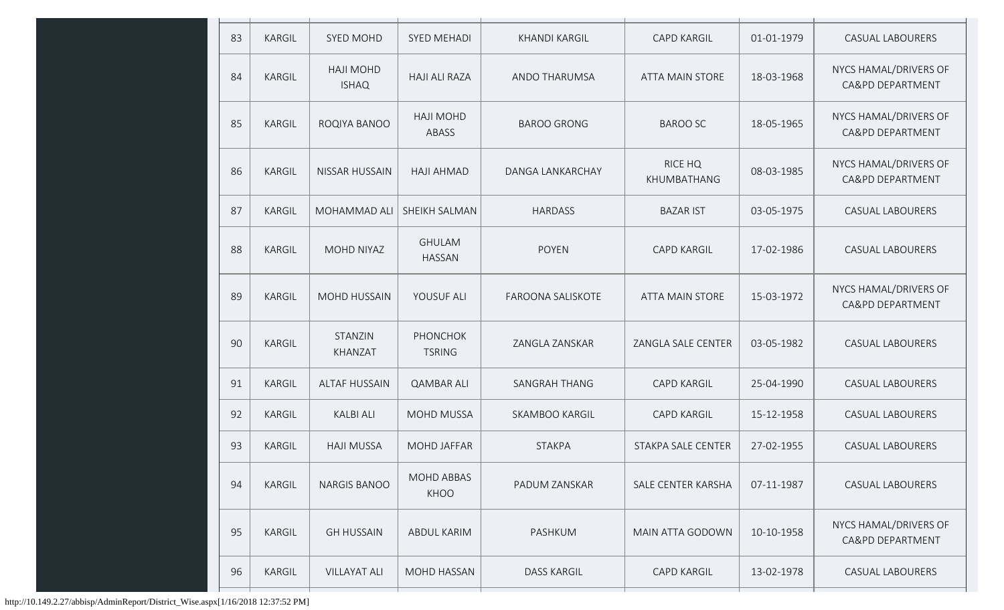| 83 | KARGIL        | <b>SYED MOHD</b>                 | <b>SYED MEHADI</b>               | <b>KHANDI KARGIL</b>  | <b>CAPD KARGIL</b>     | 01-01-1979 | <b>CASUAL LABOURERS</b>                   |
|----|---------------|----------------------------------|----------------------------------|-----------------------|------------------------|------------|-------------------------------------------|
| 84 | KARGIL        | <b>HAJI MOHD</b><br><b>ISHAQ</b> | <b>HAJI ALI RAZA</b>             | ANDO THARUMSA         | <b>ATTA MAIN STORE</b> | 18-03-1968 | NYCS HAMAL/DRIVERS OF<br>CA&PD DEPARTMENT |
| 85 | KARGIL        | ROQIYA BANOO                     | <b>HAJI MOHD</b><br>ABASS        | <b>BAROO GRONG</b>    | <b>BAROO SC</b>        | 18-05-1965 | NYCS HAMAL/DRIVERS OF<br>CA&PD DEPARTMENT |
| 86 | <b>KARGIL</b> | <b>NISSAR HUSSAIN</b>            | <b>HAJI AHMAD</b>                | DANGA LANKARCHAY      | RICE HQ<br>KHUMBATHANG | 08-03-1985 | NYCS HAMAL/DRIVERS OF<br>CA&PD DEPARTMENT |
| 87 | <b>KARGIL</b> | MOHAMMAD ALI                     | SHEIKH SALMAN                    | <b>HARDASS</b>        | <b>BAZAR IST</b>       | 03-05-1975 | <b>CASUAL LABOURERS</b>                   |
| 88 | KARGIL        | MOHD NIYAZ                       | <b>GHULAM</b><br><b>HASSAN</b>   | <b>POYEN</b>          | <b>CAPD KARGIL</b>     | 17-02-1986 | <b>CASUAL LABOURERS</b>                   |
| 89 | <b>KARGIL</b> | MOHD HUSSAIN                     | YOUSUF ALI                       | FAROONA SALISKOTE     | <b>ATTA MAIN STORE</b> | 15-03-1972 | NYCS HAMAL/DRIVERS OF<br>CA&PD DEPARTMENT |
| 90 | KARGIL        | STANZIN<br>KHANZAT               | <b>PHONCHOK</b><br><b>TSRING</b> | ZANGLA ZANSKAR        | ZANGLA SALE CENTER     | 03-05-1982 | <b>CASUAL LABOURERS</b>                   |
| 91 | KARGIL        | <b>ALTAF HUSSAIN</b>             | <b>QAMBAR ALI</b>                | SANGRAH THANG         | <b>CAPD KARGIL</b>     | 25-04-1990 | <b>CASUAL LABOURERS</b>                   |
| 92 | KARGIL        | <b>KALBI ALI</b>                 | <b>MOHD MUSSA</b>                | <b>SKAMBOO KARGIL</b> | <b>CAPD KARGIL</b>     | 15-12-1958 | <b>CASUAL LABOURERS</b>                   |
| 93 | KARGIL        | <b>HAJI MUSSA</b>                | <b>MOHD JAFFAR</b>               | <b>STAKPA</b>         | STAKPA SALE CENTER     | 27-02-1955 | <b>CASUAL LABOURERS</b>                   |
| 94 | KARGIL        | <b>NARGIS BANOO</b>              | <b>MOHD ABBAS</b><br>KHOO        | PADUM ZANSKAR         | SALE CENTER KARSHA     | 07-11-1987 | CASUAL LABOURERS                          |
| 95 | KARGIL        | <b>GH HUSSAIN</b>                | <b>ABDUL KARIM</b>               | PASHKUM               | MAIN ATTA GODOWN       | 10-10-1958 | NYCS HAMAL/DRIVERS OF<br>CA&PD DEPARTMENT |
| 96 | KARGIL        | <b>VILLAYAT ALI</b>              | MOHD HASSAN                      | <b>DASS KARGIL</b>    | CAPD KARGIL            | 13-02-1978 | CASUAL LABOURERS                          |
|    |               |                                  |                                  |                       |                        |            |                                           |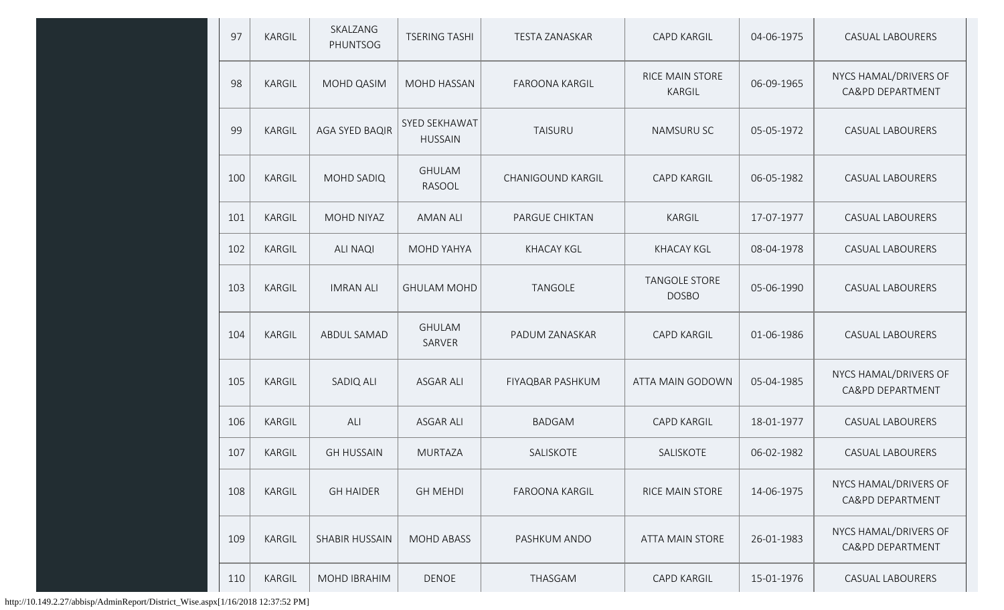| 97  | KARGIL        | SKALZANG<br>PHUNTSOG  | <b>TSERING TASHI</b>            | <b>TESTA ZANASKAR</b> | <b>CAPD KARGIL</b>                   | 04-06-1975 | CASUAL LABOURERS                          |
|-----|---------------|-----------------------|---------------------------------|-----------------------|--------------------------------------|------------|-------------------------------------------|
| 98  | KARGIL        | MOHD QASIM            | <b>MOHD HASSAN</b>              | <b>FAROONA KARGIL</b> | <b>RICE MAIN STORE</b><br>KARGIL     | 06-09-1965 | NYCS HAMAL/DRIVERS OF<br>CA&PD DEPARTMENT |
| 99  | <b>KARGIL</b> | AGA SYED BAQIR        | SYED SEKHAWAT<br><b>HUSSAIN</b> | <b>TAISURU</b>        | NAMSURU SC                           | 05-05-1972 | CASUAL LABOURERS                          |
| 100 | <b>KARGIL</b> | MOHD SADIQ            | <b>GHULAM</b><br>RASOOL         | CHANIGOUND KARGIL     | <b>CAPD KARGIL</b>                   | 06-05-1982 | CASUAL LABOURERS                          |
| 101 | KARGIL        | MOHD NIYAZ            | <b>AMAN ALI</b>                 | PARGUE CHIKTAN        | KARGIL                               | 17-07-1977 | CASUAL LABOURERS                          |
| 102 | KARGIL        | <b>ALI NAQI</b>       | <b>MOHD YAHYA</b>               | <b>KHACAY KGL</b>     | <b>KHACAY KGL</b>                    | 08-04-1978 | <b>CASUAL LABOURERS</b>                   |
| 103 | KARGIL        | <b>IMRAN ALI</b>      | <b>GHULAM MOHD</b>              | <b>TANGOLE</b>        | <b>TANGOLE STORE</b><br><b>DOSBO</b> | 05-06-1990 | <b>CASUAL LABOURERS</b>                   |
| 104 | KARGIL        | ABDUL SAMAD           | <b>GHULAM</b><br>SARVER         | PADUM ZANASKAR        | <b>CAPD KARGIL</b>                   | 01-06-1986 | <b>CASUAL LABOURERS</b>                   |
| 105 | <b>KARGIL</b> | SADIQ ALI             | <b>ASGAR ALI</b>                | FIYAQBAR PASHKUM      | ATTA MAIN GODOWN                     | 05-04-1985 | NYCS HAMAL/DRIVERS OF<br>CA&PD DEPARTMENT |
| 106 | <b>KARGIL</b> | ALI                   | <b>ASGAR ALI</b>                | <b>BADGAM</b>         | <b>CAPD KARGIL</b>                   | 18-01-1977 | <b>CASUAL LABOURERS</b>                   |
| 107 | <b>KARGIL</b> | <b>GH HUSSAIN</b>     | <b>MURTAZA</b>                  | SALISKOTE             | SALISKOTE                            | 06-02-1982 | <b>CASUAL LABOURERS</b>                   |
| 108 | KARGIL        | <b>GH HAIDER</b>      | <b>GH MEHDI</b>                 | <b>FAROONA KARGIL</b> | RICE MAIN STORE                      | 14-06-1975 | NYCS HAMAL/DRIVERS OF<br>CA&PD DEPARTMENT |
| 109 | <b>KARGIL</b> | <b>SHABIR HUSSAIN</b> | <b>MOHD ABASS</b>               | PASHKUM ANDO          | <b>ATTA MAIN STORE</b>               | 26-01-1983 | NYCS HAMAL/DRIVERS OF<br>CA&PD DEPARTMENT |
| 110 | KARGIL        | MOHD IBRAHIM          | <b>DENOE</b>                    | THASGAM               | <b>CAPD KARGIL</b>                   | 15-01-1976 | CASUAL LABOURERS                          |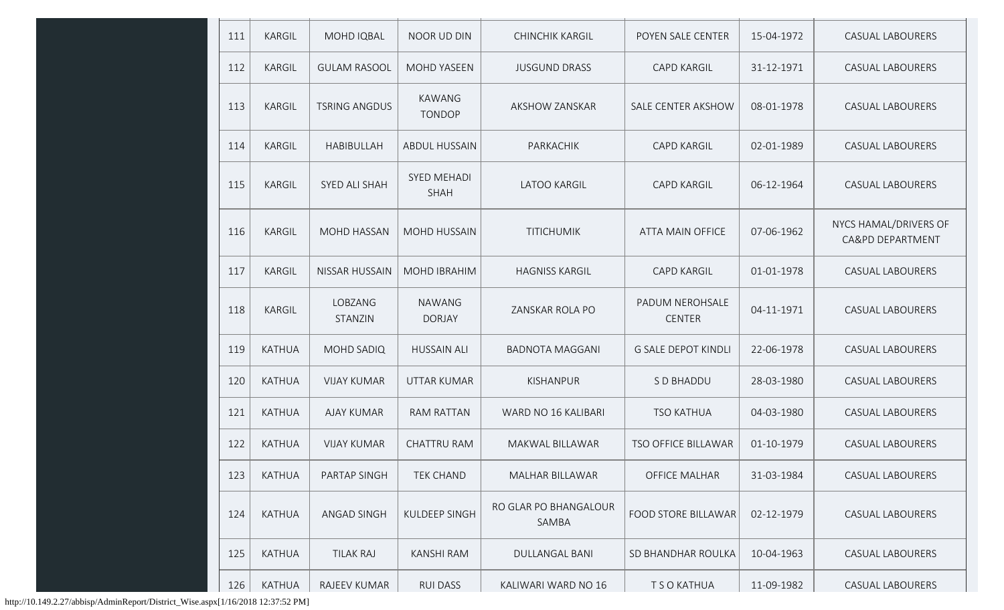| 111 | <b>KARGIL</b> | MOHD IQBAL            | NOOR UD DIN                       | <b>CHINCHIK KARGIL</b>         | POYEN SALE CENTER                | 15-04-1972 | <b>CASUAL LABOURERS</b>                   |
|-----|---------------|-----------------------|-----------------------------------|--------------------------------|----------------------------------|------------|-------------------------------------------|
| 112 | <b>KARGIL</b> | <b>GULAM RASOOL</b>   | <b>MOHD YASEEN</b>                | <b>JUSGUND DRASS</b>           | <b>CAPD KARGIL</b>               | 31-12-1971 | <b>CASUAL LABOURERS</b>                   |
| 113 | <b>KARGIL</b> | <b>TSRING ANGDUS</b>  | <b>KAWANG</b><br><b>TONDOP</b>    | <b>AKSHOW ZANSKAR</b>          | SALE CENTER AKSHOW               | 08-01-1978 | <b>CASUAL LABOURERS</b>                   |
| 114 | <b>KARGIL</b> | <b>HABIBULLAH</b>     | <b>ABDUL HUSSAIN</b>              | PARKACHIK                      | <b>CAPD KARGIL</b>               | 02-01-1989 | <b>CASUAL LABOURERS</b>                   |
| 115 | <b>KARGIL</b> | SYED ALI SHAH         | <b>SYED MEHADI</b><br><b>SHAH</b> | <b>LATOO KARGIL</b>            | <b>CAPD KARGIL</b>               | 06-12-1964 | <b>CASUAL LABOURERS</b>                   |
| 116 | <b>KARGIL</b> | <b>MOHD HASSAN</b>    | <b>MOHD HUSSAIN</b>               | <b>TITICHUMIK</b>              | <b>ATTA MAIN OFFICE</b>          | 07-06-1962 | NYCS HAMAL/DRIVERS OF<br>CA&PD DEPARTMENT |
| 117 | <b>KARGIL</b> | <b>NISSAR HUSSAIN</b> | <b>MOHD IBRAHIM</b>               | <b>HAGNISS KARGIL</b>          | <b>CAPD KARGIL</b>               | 01-01-1978 | <b>CASUAL LABOURERS</b>                   |
| 118 | KARGIL        | LOBZANG<br>STANZIN    | <b>NAWANG</b><br><b>DORJAY</b>    | ZANSKAR ROLA PO                | PADUM NEROHSALE<br><b>CENTER</b> | 04-11-1971 | <b>CASUAL LABOURERS</b>                   |
| 119 | <b>KATHUA</b> | <b>MOHD SADIQ</b>     | <b>HUSSAIN ALI</b>                | <b>BADNOTA MAGGANI</b>         | <b>G SALE DEPOT KINDLI</b>       | 22-06-1978 | <b>CASUAL LABOURERS</b>                   |
| 120 | <b>KATHUA</b> | <b>VIJAY KUMAR</b>    | <b>UTTAR KUMAR</b>                | KISHANPUR                      | S D BHADDU                       | 28-03-1980 | <b>CASUAL LABOURERS</b>                   |
| 121 | <b>KATHUA</b> | <b>AJAY KUMAR</b>     | <b>RAM RATTAN</b>                 | WARD NO 16 KALIBARI            | <b>TSO KATHUA</b>                | 04-03-1980 | <b>CASUAL LABOURERS</b>                   |
| 122 | <b>KATHUA</b> | <b>VIJAY KUMAR</b>    | <b>CHATTRU RAM</b>                | MAKWAL BILLAWAR                | TSO OFFICE BILLAWAR              | 01-10-1979 | <b>CASUAL LABOURERS</b>                   |
| 123 | <b>KATHUA</b> | PARTAP SINGH          | <b>TEK CHAND</b>                  | MALHAR BILLAWAR                | <b>OFFICE MALHAR</b>             | 31-03-1984 | <b>CASUAL LABOURERS</b>                   |
| 124 | <b>KATHUA</b> | <b>ANGAD SINGH</b>    | KULDEEP SINGH                     | RO GLAR PO BHANGALOUR<br>SAMBA | <b>FOOD STORE BILLAWAR</b>       | 02-12-1979 | <b>CASUAL LABOURERS</b>                   |
| 125 | KATHUA        | <b>TILAK RAJ</b>      | <b>KANSHI RAM</b>                 | <b>DULLANGAL BANI</b>          | SD BHANDHAR ROULKA               | 10-04-1963 | <b>CASUAL LABOURERS</b>                   |
| 126 | KATHUA        | RAJEEV KUMAR          | <b>RUI DASS</b>                   | KALIWARI WARD NO 16            | T S O KATHUA                     | 11-09-1982 | <b>CASUAL LABOURERS</b>                   |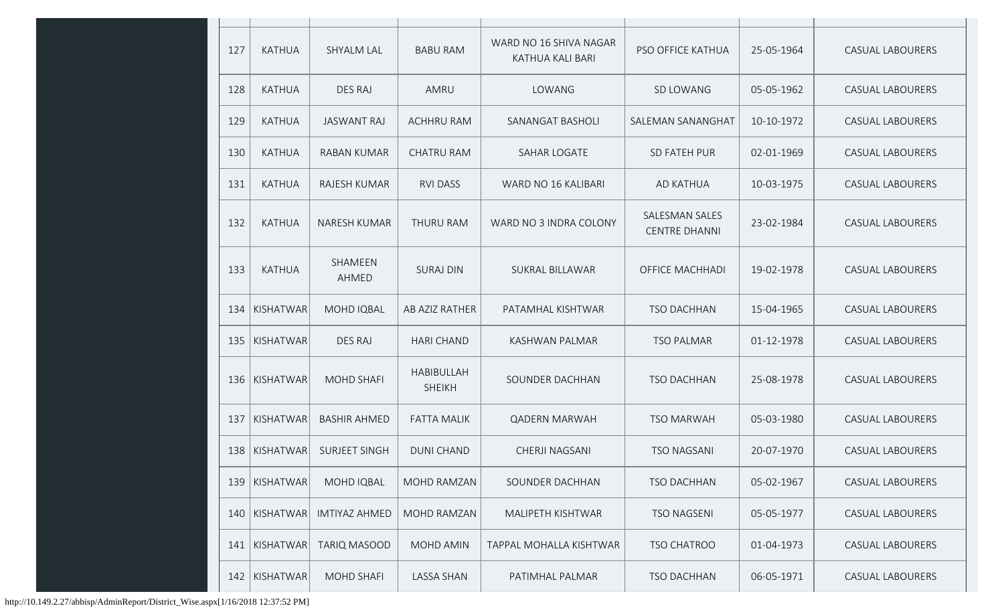| 127 | <b>KATHUA</b> | <b>SHYALM LAL</b>    | <b>BABU RAM</b>                    | WARD NO 16 SHIVA NAGAR<br>KATHUA KALI BARI | <b>PSO OFFICE KATHUA</b>               | 25-05-1964 | <b>CASUAL LABOURERS</b> |
|-----|---------------|----------------------|------------------------------------|--------------------------------------------|----------------------------------------|------------|-------------------------|
| 128 | <b>KATHUA</b> | <b>DES RAJ</b>       | AMRU                               | LOWANG                                     | SD LOWANG                              | 05-05-1962 | <b>CASUAL LABOURERS</b> |
| 129 | <b>KATHUA</b> | <b>JASWANT RAJ</b>   | <b>ACHHRU RAM</b>                  | SANANGAT BASHOLI                           | SALEMAN SANANGHAT                      | 10-10-1972 | <b>CASUAL LABOURERS</b> |
| 130 | <b>KATHUA</b> | <b>RABAN KUMAR</b>   | <b>CHATRU RAM</b>                  | <b>SAHAR LOGATE</b>                        | <b>SD FATEH PUR</b>                    | 02-01-1969 | <b>CASUAL LABOURERS</b> |
| 131 | <b>KATHUA</b> | RAJESH KUMAR         | <b>RVI DASS</b>                    | WARD NO 16 KALIBARI                        | AD KATHUA                              | 10-03-1975 | <b>CASUAL LABOURERS</b> |
| 132 | <b>KATHUA</b> | <b>NARESH KUMAR</b>  | <b>THURU RAM</b>                   | WARD NO 3 INDRA COLONY                     | SALESMAN SALES<br><b>CENTRE DHANNI</b> | 23-02-1984 | <b>CASUAL LABOURERS</b> |
| 133 | <b>KATHUA</b> | SHAMEEN<br>AHMED     | <b>SURAJ DIN</b>                   | <b>SUKRAL BILLAWAR</b>                     | <b>OFFICE MACHHADI</b>                 | 19-02-1978 | <b>CASUAL LABOURERS</b> |
| 134 | KISHATWAR     | MOHD IQBAL           | AB AZIZ RATHER                     | PATAMHAL KISHTWAR                          | <b>TSO DACHHAN</b>                     | 15-04-1965 | <b>CASUAL LABOURERS</b> |
| 135 | KISHATWAR     | <b>DES RAJ</b>       | <b>HARI CHAND</b>                  | KASHWAN PALMAR                             | <b>TSO PALMAR</b>                      | 01-12-1978 | <b>CASUAL LABOURERS</b> |
| 136 | KISHATWAR     | <b>MOHD SHAFI</b>    | <b>HABIBULLAH</b><br><b>SHEIKH</b> | SOUNDER DACHHAN                            | <b>TSO DACHHAN</b>                     | 25-08-1978 | <b>CASUAL LABOURERS</b> |
| 137 | KISHATWAR     | <b>BASHIR AHMED</b>  | <b>FATTA MALIK</b>                 | <b>QADERN MARWAH</b>                       | <b>TSO MARWAH</b>                      | 05-03-1980 | <b>CASUAL LABOURERS</b> |
| 138 | KISHATWAR     | SURJEET SINGH        | <b>DUNI CHAND</b>                  | <b>CHERJI NAGSANI</b>                      | <b>TSO NAGSANI</b>                     | 20-07-1970 | CASUAL LABOURERS        |
| 139 | KISHATWAR     | MOHD IQBAL           | MOHD RAMZAN                        | SOUNDER DACHHAN                            | <b>TSO DACHHAN</b>                     | 05-02-1967 | <b>CASUAL LABOURERS</b> |
| 140 | KISHATWAR     | <b>IMTIYAZ AHMED</b> | MOHD RAMZAN                        | MALIPETH KISHTWAR                          | <b>TSO NAGSENI</b>                     | 05-05-1977 | <b>CASUAL LABOURERS</b> |
| 141 | KISHATWAR     | <b>TARIQ MASOOD</b>  | MOHD AMIN                          | TAPPAL MOHALLA KISHTWAR                    | TSO CHATROO                            | 01-04-1973 | CASUAL LABOURERS        |
| 142 | KISHATWAR     | <b>MOHD SHAFI</b>    | LASSA SHAN                         | PATIMHAL PALMAR                            | <b>TSO DACHHAN</b>                     | 06-05-1971 | <b>CASUAL LABOURERS</b> |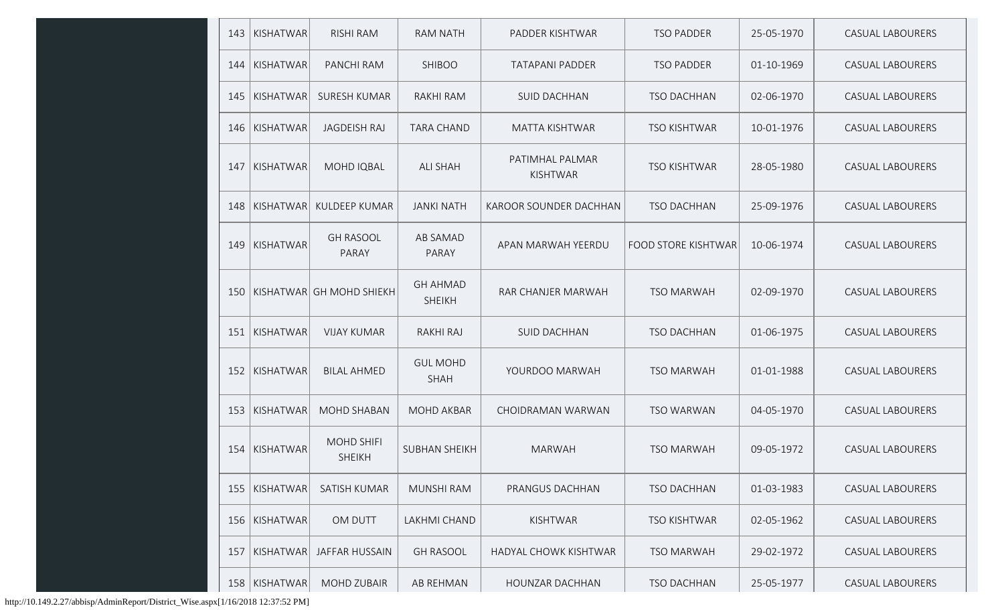| 143 | KISHATWAR       | <b>RISHI RAM</b>                   | <b>RAM NATH</b>                  | PADDER KISHTWAR                    | <b>TSO PADDER</b>          | 25-05-1970 | <b>CASUAL LABOURERS</b> |
|-----|-----------------|------------------------------------|----------------------------------|------------------------------------|----------------------------|------------|-------------------------|
| 144 | KISHATWAR       | PANCHI RAM                         | <b>SHIBOO</b>                    | <b>TATAPANI PADDER</b>             | <b>TSO PADDER</b>          | 01-10-1969 | <b>CASUAL LABOURERS</b> |
|     | 145   KISHATWAR | <b>SURESH KUMAR</b>                | <b>RAKHI RAM</b>                 | <b>SUID DACHHAN</b>                | <b>TSO DACHHAN</b>         | 02-06-1970 | <b>CASUAL LABOURERS</b> |
| 146 | KISHATWAR       | <b>JAGDEISH RAJ</b>                | <b>TARA CHAND</b>                | <b>MATTA KISHTWAR</b>              | <b>TSO KISHTWAR</b>        | 10-01-1976 | <b>CASUAL LABOURERS</b> |
| 147 | KISHATWAR       | MOHD IQBAL                         | <b>ALI SHAH</b>                  | PATIMHAL PALMAR<br><b>KISHTWAR</b> | <b>TSO KISHTWAR</b>        | 28-05-1980 | <b>CASUAL LABOURERS</b> |
| 148 | KISHATWAR       | KULDEEP KUMAR                      | <b>JANKI NATH</b>                | KAROOR SOUNDER DACHHAN             | <b>TSO DACHHAN</b>         | 25-09-1976 | <b>CASUAL LABOURERS</b> |
| 149 | KISHATWAR       | <b>GH RASOOL</b><br>PARAY          | <b>AB SAMAD</b><br>PARAY         | APAN MARWAH YEERDU                 | <b>FOOD STORE KISHTWAR</b> | 10-06-1974 | <b>CASUAL LABOURERS</b> |
|     |                 | 150   KISHATWAR   GH MOHD SHIEKH   | <b>GH AHMAD</b><br><b>SHEIKH</b> | RAR CHANJER MARWAH                 | <b>TSO MARWAH</b>          | 02-09-1970 | <b>CASUAL LABOURERS</b> |
| 151 | KISHATWAR       | <b>VIJAY KUMAR</b>                 | RAKHI RAJ                        | <b>SUID DACHHAN</b>                | <b>TSO DACHHAN</b>         | 01-06-1975 | <b>CASUAL LABOURERS</b> |
| 152 | KISHATWAR       | <b>BILAL AHMED</b>                 | <b>GUL MOHD</b><br><b>SHAH</b>   | YOURDOO MARWAH                     | <b>TSO MARWAH</b>          | 01-01-1988 | <b>CASUAL LABOURERS</b> |
| 153 | KISHATWAR       | <b>MOHD SHABAN</b>                 | <b>MOHD AKBAR</b>                | CHOIDRAMAN WARWAN                  | <b>TSO WARWAN</b>          | 04-05-1970 | <b>CASUAL LABOURERS</b> |
| 154 | KISHATWAR       | <b>MOHD SHIFI</b><br><b>SHEIKH</b> | <b>SUBHAN SHEIKH</b>             | <b>MARWAH</b>                      | <b>TSO MARWAH</b>          | 09-05-1972 | <b>CASUAL LABOURERS</b> |
| 155 | KISHATWAR       | SATISH KUMAR                       | <b>MUNSHI RAM</b>                | PRANGUS DACHHAN                    | <b>TSO DACHHAN</b>         | 01-03-1983 | <b>CASUAL LABOURERS</b> |
| 156 | KISHATWAR       | OM DUTT                            | LAKHMI CHAND                     | KISHTWAR                           | <b>TSO KISHTWAR</b>        | 02-05-1962 | CASUAL LABOURERS        |
| 157 | KISHATWAR       | <b>JAFFAR HUSSAIN</b>              | <b>GH RASOOL</b>                 | HADYAL CHOWK KISHTWAR              | <b>TSO MARWAH</b>          | 29-02-1972 | <b>CASUAL LABOURERS</b> |
|     | 158   KISHATWAR | MOHD ZUBAIR                        | AB REHMAN                        | HOUNZAR DACHHAN                    | TSO DACHHAN                | 25-05-1977 | CASUAL LABOURERS        |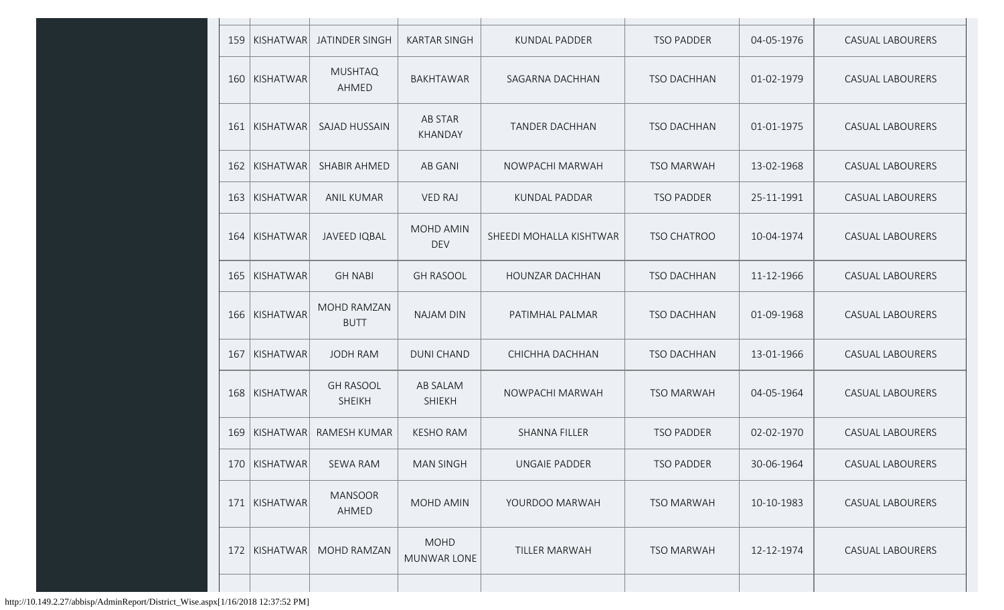| 159 | KISHATWAR       | JATINDER SINGH                    | <b>KARTAR SINGH</b>        | <b>KUNDAL PADDER</b>    | <b>TSO PADDER</b>  | 04-05-1976 | <b>CASUAL LABOURERS</b> |
|-----|-----------------|-----------------------------------|----------------------------|-------------------------|--------------------|------------|-------------------------|
| 160 | KISHATWAR       | <b>MUSHTAQ</b><br>AHMED           | <b>BAKHTAWAR</b>           | SAGARNA DACHHAN         | <b>TSO DACHHAN</b> | 01-02-1979 | <b>CASUAL LABOURERS</b> |
| 161 | KISHATWAR       | <b>SAJAD HUSSAIN</b>              | AB STAR<br>KHANDAY         | <b>TANDER DACHHAN</b>   | <b>TSO DACHHAN</b> | 01-01-1975 | <b>CASUAL LABOURERS</b> |
| 162 | KISHATWAR       | SHABIR AHMED                      | AB GANI                    | NOWPACHI MARWAH         | <b>TSO MARWAH</b>  | 13-02-1968 | <b>CASUAL LABOURERS</b> |
| 163 | KISHATWAR       | <b>ANIL KUMAR</b>                 | <b>VED RAJ</b>             | KUNDAL PADDAR           | <b>TSO PADDER</b>  | 25-11-1991 | <b>CASUAL LABOURERS</b> |
| 164 | KISHATWAR       | <b>JAVEED IQBAL</b>               | MOHD AMIN<br><b>DEV</b>    | SHEEDI MOHALLA KISHTWAR | <b>TSO CHATROO</b> | 10-04-1974 | <b>CASUAL LABOURERS</b> |
| 165 | KISHATWAR       | <b>GH NABI</b>                    | <b>GH RASOOL</b>           | HOUNZAR DACHHAN         | <b>TSO DACHHAN</b> | 11-12-1966 | <b>CASUAL LABOURERS</b> |
| 166 | KISHATWAR       | MOHD RAMZAN<br><b>BUTT</b>        | <b>NAJAM DIN</b>           | PATIMHAL PALMAR         | <b>TSO DACHHAN</b> | 01-09-1968 | <b>CASUAL LABOURERS</b> |
| 167 | KISHATWAR       | <b>JODH RAM</b>                   | <b>DUNI CHAND</b>          | CHICHHA DACHHAN         | <b>TSO DACHHAN</b> | 13-01-1966 | <b>CASUAL LABOURERS</b> |
| 168 | KISHATWAR       | <b>GH RASOOL</b><br><b>SHEIKH</b> | AB SALAM<br><b>SHIEKH</b>  | NOWPACHI MARWAH         | <b>TSO MARWAH</b>  | 04-05-1964 | <b>CASUAL LABOURERS</b> |
| 169 | KISHATWAR       | RAMESH KUMAR                      | <b>KESHO RAM</b>           | SHANNA FILLER           | <b>TSO PADDER</b>  | 02-02-1970 | <b>CASUAL LABOURERS</b> |
|     | 170   KISHATWAR | SEWA RAM                          | <b>MAN SINGH</b>           | UNGAIE PADDER           | <b>TSO PADDER</b>  | 30-06-1964 | CASUAL LABOURERS        |
| 171 | KISHATWAR       | <b>MANSOOR</b><br>AHMED           | MOHD AMIN                  | YOURDOO MARWAH          | <b>TSO MARWAH</b>  | 10-10-1983 | <b>CASUAL LABOURERS</b> |
| 172 | KISHATWAR       | MOHD RAMZAN                       | <b>MOHD</b><br>MUNWAR LONE | <b>TILLER MARWAH</b>    | <b>TSO MARWAH</b>  | 12-12-1974 | <b>CASUAL LABOURERS</b> |
|     |                 |                                   |                            |                         |                    |            |                         |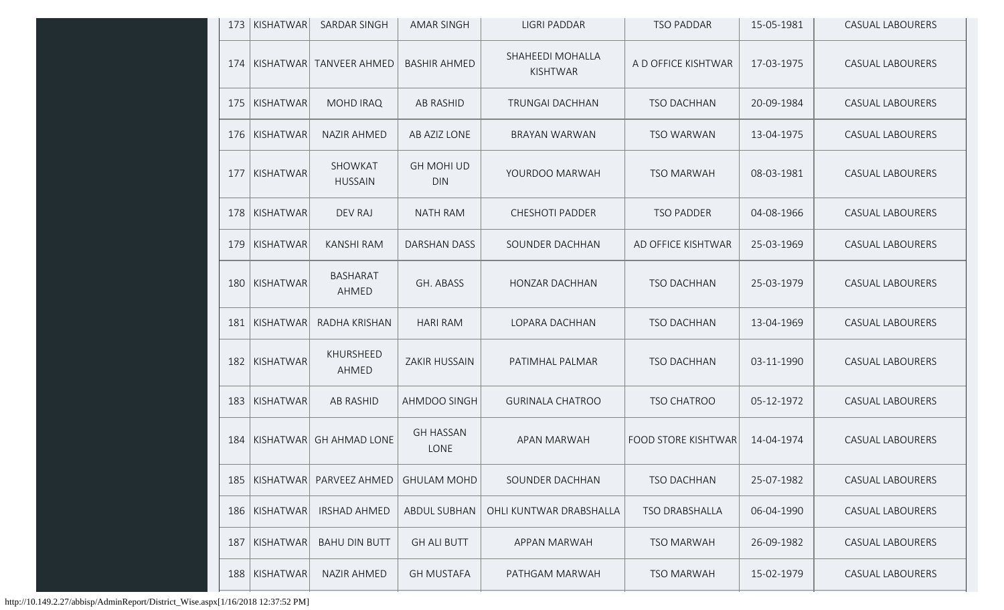|     | 173   KISHATWAR | <b>SARDAR SINGH</b>             | <b>AMAR SINGH</b>               | <b>LIGRI PADDAR</b>                 | <b>TSO PADDAR</b>          | 15-05-1981 | <b>CASUAL LABOURERS</b> |
|-----|-----------------|---------------------------------|---------------------------------|-------------------------------------|----------------------------|------------|-------------------------|
|     |                 | 174   KISHATWAR   TANVEER AHMED | <b>BASHIR AHMED</b>             | SHAHEEDI MOHALLA<br><b>KISHTWAR</b> | A D OFFICE KISHTWAR        | 17-03-1975 | <b>CASUAL LABOURERS</b> |
|     | 175   KISHATWAR | <b>MOHD IRAQ</b>                | <b>AB RASHID</b>                | <b>TRUNGAI DACHHAN</b>              | <b>TSO DACHHAN</b>         | 20-09-1984 | <b>CASUAL LABOURERS</b> |
|     | 176   KISHATWAR | <b>NAZIR AHMED</b>              | AB AZIZ LONE                    | BRAYAN WARWAN                       | <b>TSO WARWAN</b>          | 13-04-1975 | <b>CASUAL LABOURERS</b> |
| 177 | KISHATWAR       | SHOWKAT<br><b>HUSSAIN</b>       | <b>GH MOHI UD</b><br><b>DIN</b> | YOURDOO MARWAH                      | <b>TSO MARWAH</b>          | 08-03-1981 | <b>CASUAL LABOURERS</b> |
|     | 178   KISHATWAR | <b>DEV RAJ</b>                  | <b>NATH RAM</b>                 | <b>CHESHOTI PADDER</b>              | <b>TSO PADDER</b>          | 04-08-1966 | <b>CASUAL LABOURERS</b> |
| 179 | KISHATWAR       | <b>KANSHI RAM</b>               | <b>DARSHAN DASS</b>             | SOUNDER DACHHAN                     | AD OFFICE KISHTWAR         | 25-03-1969 | <b>CASUAL LABOURERS</b> |
| 180 | KISHATWAR       | <b>BASHARAT</b><br>AHMED        | GH. ABASS                       | HONZAR DACHHAN                      | <b>TSO DACHHAN</b>         | 25-03-1979 | <b>CASUAL LABOURERS</b> |
| 181 | KISHATWAR       | RADHA KRISHAN                   | <b>HARI RAM</b>                 | LOPARA DACHHAN                      | <b>TSO DACHHAN</b>         | 13-04-1969 | <b>CASUAL LABOURERS</b> |
| 182 | KISHATWAR       | KHURSHEED<br>AHMED              | <b>ZAKIR HUSSAIN</b>            | PATIMHAL PALMAR                     | <b>TSO DACHHAN</b>         | 03-11-1990 | <b>CASUAL LABOURERS</b> |
| 183 | KISHATWAR       | <b>AB RASHID</b>                | AHMDOO SINGH                    | <b>GURINALA CHATROO</b>             | <b>TSO CHATROO</b>         | 05-12-1972 | <b>CASUAL LABOURERS</b> |
|     |                 | 184   KISHATWAR   GH AHMAD LONE | <b>GH HASSAN</b><br>LONE        | APAN MARWAH                         | <b>FOOD STORE KISHTWAR</b> | 14-04-1974 | <b>CASUAL LABOURERS</b> |
| 185 | KISHATWAR       | PARVEEZ AHMED                   | <b>GHULAM MOHD</b>              | SOUNDER DACHHAN                     | <b>TSO DACHHAN</b>         | 25-07-1982 | <b>CASUAL LABOURERS</b> |
| 186 | KISHATWAR       | <b>IRSHAD AHMED</b>             | <b>ABDUL SUBHAN</b>             | OHLI KUNTWAR DRABSHALLA             | <b>TSO DRABSHALLA</b>      | 06-04-1990 | <b>CASUAL LABOURERS</b> |
| 187 | KISHATWAR       | <b>BAHU DIN BUTT</b>            | <b>GH ALI BUTT</b>              | APPAN MARWAH                        | <b>TSO MARWAH</b>          | 26-09-1982 | <b>CASUAL LABOURERS</b> |
| 188 | KISHATWAR       | <b>NAZIR AHMED</b>              | <b>GH MUSTAFA</b>               | PATHGAM MARWAH                      | <b>TSO MARWAH</b>          | 15-02-1979 | <b>CASUAL LABOURERS</b> |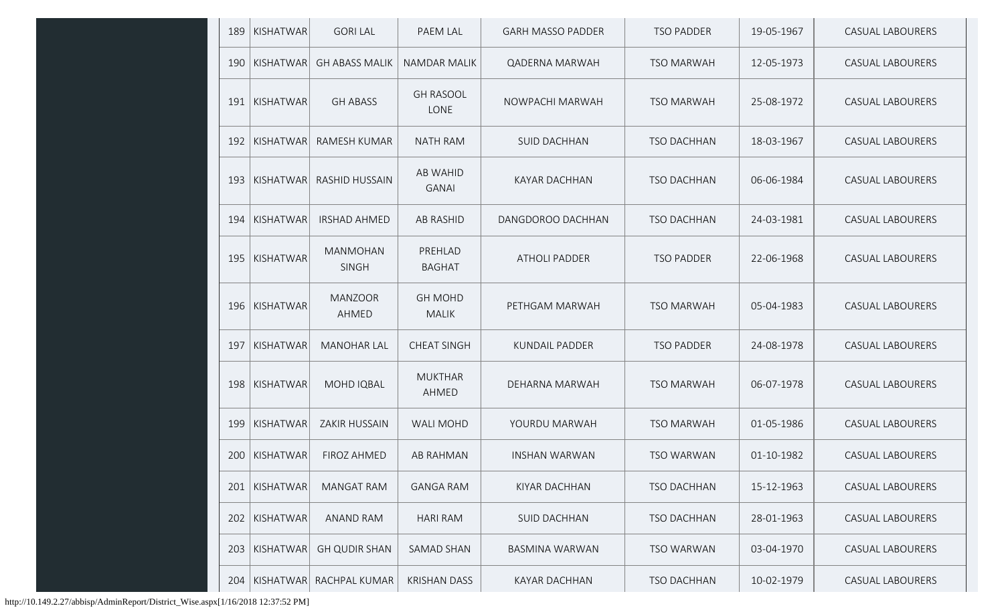| 189 | KISHATWAR         | <b>GORI LAL</b>                 | PAEM LAL                        | <b>GARH MASSO PADDER</b> | <b>TSO PADDER</b>  | 19-05-1967 | <b>CASUAL LABOURERS</b> |
|-----|-------------------|---------------------------------|---------------------------------|--------------------------|--------------------|------------|-------------------------|
| 190 | KISHATWAR         | <b>GH ABASS MALIK</b>           | <b>NAMDAR MALIK</b>             | <b>QADERNA MARWAH</b>    | <b>TSO MARWAH</b>  | 12-05-1973 | <b>CASUAL LABOURERS</b> |
| 191 | KISHATWAR         | <b>GH ABASS</b>                 | <b>GH RASOOL</b><br><b>LONE</b> | NOWPACHI MARWAH          | <b>TSO MARWAH</b>  | 25-08-1972 | <b>CASUAL LABOURERS</b> |
| 192 | $ K$ ISHATWAR $ $ | <b>RAMESH KUMAR</b>             | <b>NATH RAM</b>                 | <b>SUID DACHHAN</b>      | <b>TSO DACHHAN</b> | 18-03-1967 | <b>CASUAL LABOURERS</b> |
| 193 | $ K$ ISHATWAR $ $ | <b>RASHID HUSSAIN</b>           | <b>AB WAHID</b><br><b>GANAI</b> | <b>KAYAR DACHHAN</b>     | <b>TSO DACHHAN</b> | 06-06-1984 | <b>CASUAL LABOURERS</b> |
| 194 | KISHATWAR         | <b>IRSHAD AHMED</b>             | <b>AB RASHID</b>                | DANGDOROO DACHHAN        | <b>TSO DACHHAN</b> | 24-03-1981 | <b>CASUAL LABOURERS</b> |
| 195 | KISHATWAR         | <b>MANMOHAN</b><br><b>SINGH</b> | PREHLAD<br><b>BAGHAT</b>        | <b>ATHOLI PADDER</b>     | <b>TSO PADDER</b>  | 22-06-1968 | <b>CASUAL LABOURERS</b> |
| 196 | KISHATWAR         | <b>MANZOOR</b><br>AHMED         | <b>GH MOHD</b><br><b>MALIK</b>  | PETHGAM MARWAH           | <b>TSO MARWAH</b>  | 05-04-1983 | <b>CASUAL LABOURERS</b> |
| 197 | KISHATWAR         | <b>MANOHAR LAL</b>              | <b>CHEAT SINGH</b>              | <b>KUNDAIL PADDER</b>    | <b>TSO PADDER</b>  | 24-08-1978 | <b>CASUAL LABOURERS</b> |
| 198 | KISHATWAR         | MOHD IQBAL                      | <b>MUKTHAR</b><br>AHMED         | DEHARNA MARWAH           | <b>TSO MARWAH</b>  | 06-07-1978 | <b>CASUAL LABOURERS</b> |
| 199 | KISHATWAR         | <b>ZAKIR HUSSAIN</b>            | <b>WALI MOHD</b>                | YOURDU MARWAH            | <b>TSO MARWAH</b>  | 01-05-1986 | <b>CASUAL LABOURERS</b> |
|     | 200   KISHATWAR   | FIROZ AHMED                     | AB RAHMAN                       | <b>INSHAN WARWAN</b>     | <b>TSO WARWAN</b>  | 01-10-1982 | <b>CASUAL LABOURERS</b> |
| 201 | KISHATWAR         | MANGAT RAM                      | <b>GANGA RAM</b>                | KIYAR DACHHAN            | TSO DACHHAN        | 15-12-1963 | CASUAL LABOURERS        |
| 202 | KISHATWAR         | <b>ANAND RAM</b>                | <b>HARI RAM</b>                 | <b>SUID DACHHAN</b>      | <b>TSO DACHHAN</b> | 28-01-1963 | <b>CASUAL LABOURERS</b> |
| 203 | KISHATWAR         | <b>GH QUDIR SHAN</b>            | SAMAD SHAN                      | <b>BASMINA WARWAN</b>    | <b>TSO WARWAN</b>  | 03-04-1970 | <b>CASUAL LABOURERS</b> |
| 204 | KISHATWAR         | RACHPAL KUMAR                   | <b>KRISHAN DASS</b>             | <b>KAYAR DACHHAN</b>     | TSO DACHHAN        | 10-02-1979 | CASUAL LABOURERS        |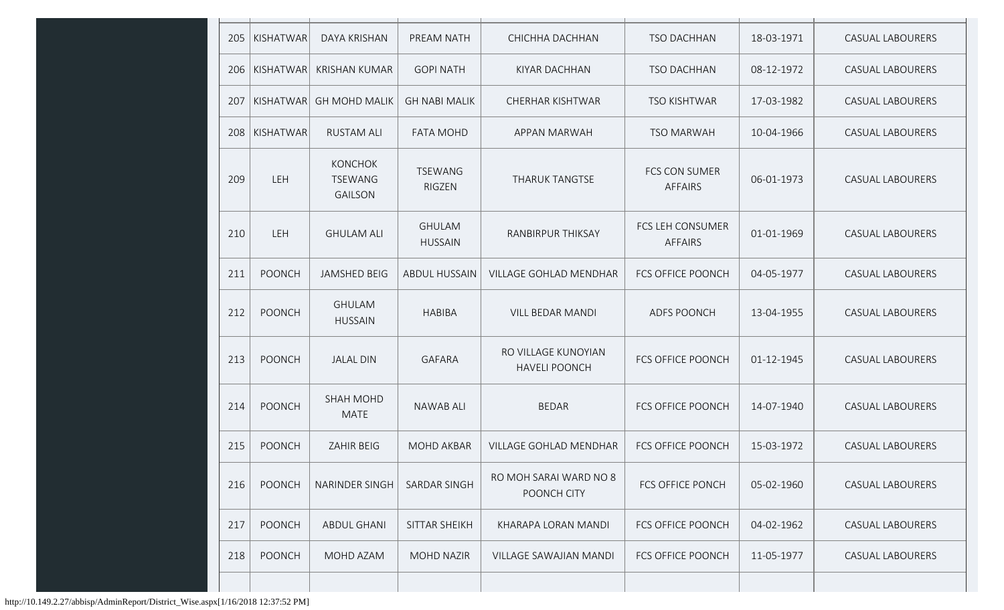| 205 | KISHATWAR     | <b>DAYA KRISHAN</b>                                | PREAM NATH                      | CHICHHA DACHHAN                             | <b>TSO DACHHAN</b>                     | 18-03-1971 | <b>CASUAL LABOURERS</b> |
|-----|---------------|----------------------------------------------------|---------------------------------|---------------------------------------------|----------------------------------------|------------|-------------------------|
| 206 | KISHATWAR     | <b>KRISHAN KUMAR</b>                               | <b>GOPI NATH</b>                | <b>KIYAR DACHHAN</b>                        | <b>TSO DACHHAN</b>                     | 08-12-1972 | <b>CASUAL LABOURERS</b> |
| 207 | KISHATWAR     | <b>GH MOHD MALIK</b>                               | <b>GH NABI MALIK</b>            | <b>CHERHAR KISHTWAR</b>                     | <b>TSO KISHTWAR</b>                    | 17-03-1982 | <b>CASUAL LABOURERS</b> |
| 208 | KISHATWAR     | <b>RUSTAM ALI</b>                                  | <b>FATA MOHD</b>                | APPAN MARWAH                                | <b>TSO MARWAH</b>                      | 10-04-1966 | <b>CASUAL LABOURERS</b> |
| 209 | LEH           | <b>KONCHOK</b><br><b>TSEWANG</b><br><b>GAILSON</b> | <b>TSEWANG</b><br><b>RIGZEN</b> | THARUK TANGTSE                              | <b>FCS CON SUMER</b><br><b>AFFAIRS</b> | 06-01-1973 | <b>CASUAL LABOURERS</b> |
| 210 | LEH           | <b>GHULAM ALI</b>                                  | <b>GHULAM</b><br><b>HUSSAIN</b> | RANBIRPUR THIKSAY                           | FCS LEH CONSUMER<br><b>AFFAIRS</b>     | 01-01-1969 | <b>CASUAL LABOURERS</b> |
| 211 | <b>POONCH</b> | <b>JAMSHED BEIG</b>                                | <b>ABDUL HUSSAIN</b>            | VILLAGE GOHLAD MENDHAR                      | <b>FCS OFFICE POONCH</b>               | 04-05-1977 | <b>CASUAL LABOURERS</b> |
| 212 | <b>POONCH</b> | <b>GHULAM</b><br><b>HUSSAIN</b>                    | <b>HABIBA</b>                   | <b>VILL BEDAR MANDI</b>                     | <b>ADFS POONCH</b>                     | 13-04-1955 | <b>CASUAL LABOURERS</b> |
| 213 | <b>POONCH</b> | <b>JALAL DIN</b>                                   | <b>GAFARA</b>                   | RO VILLAGE KUNOYIAN<br><b>HAVELI POONCH</b> | <b>FCS OFFICE POONCH</b>               | 01-12-1945 | <b>CASUAL LABOURERS</b> |
| 214 | <b>POONCH</b> | <b>SHAH MOHD</b><br><b>MATE</b>                    | <b>NAWAB ALI</b>                | <b>BEDAR</b>                                | <b>FCS OFFICE POONCH</b>               | 14-07-1940 | <b>CASUAL LABOURERS</b> |
| 215 | <b>POONCH</b> | <b>ZAHIR BEIG</b>                                  | <b>MOHD AKBAR</b>               | <b>VILLAGE GOHLAD MENDHAR</b>               | <b>FCS OFFICE POONCH</b>               | 15-03-1972 | <b>CASUAL LABOURERS</b> |
| 216 | <b>POONCH</b> | NARINDER SINGH                                     | <b>SARDAR SINGH</b>             | RO MOH SARAI WARD NO 8<br>POONCH CITY       | <b>FCS OFFICE PONCH</b>                | 05-02-1960 | CASUAL LABOURERS        |
| 217 | <b>POONCH</b> | <b>ABDUL GHANI</b>                                 | SITTAR SHEIKH                   | KHARAPA LORAN MANDI                         | <b>FCS OFFICE POONCH</b>               | 04-02-1962 | CASUAL LABOURERS        |
| 218 | <b>POONCH</b> | MOHD AZAM                                          | <b>MOHD NAZIR</b>               | VILLAGE SAWAJIAN MANDI                      | FCS OFFICE POONCH                      | 11-05-1977 | CASUAL LABOURERS        |
|     |               |                                                    |                                 |                                             |                                        |            |                         |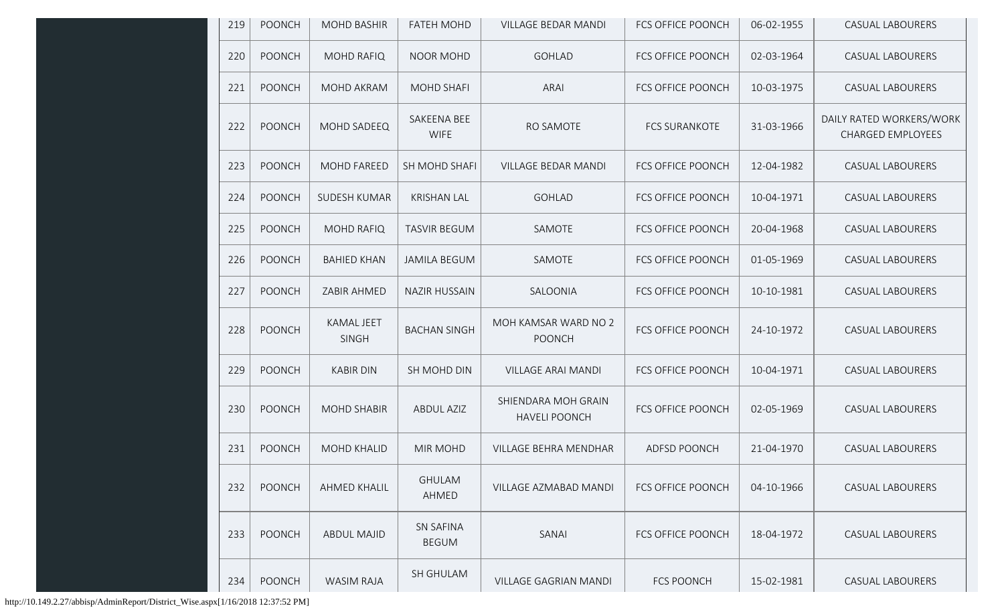| 219 | <b>POONCH</b> | <b>MOHD BASHIR</b>         | <b>FATEH MOHD</b>                | <b>VILLAGE BEDAR MANDI</b>                  | <b>FCS OFFICE POONCH</b> | 06-02-1955 | <b>CASUAL LABOURERS</b>                              |
|-----|---------------|----------------------------|----------------------------------|---------------------------------------------|--------------------------|------------|------------------------------------------------------|
| 220 | <b>POONCH</b> | <b>MOHD RAFIQ</b>          | NOOR MOHD                        | <b>GOHLAD</b>                               | FCS OFFICE POONCH        | 02-03-1964 | <b>CASUAL LABOURERS</b>                              |
| 221 | <b>POONCH</b> | MOHD AKRAM                 | <b>MOHD SHAFI</b>                | <b>ARAI</b>                                 | <b>FCS OFFICE POONCH</b> | 10-03-1975 | <b>CASUAL LABOURERS</b>                              |
| 222 | <b>POONCH</b> | MOHD SADEEQ                | SAKEENA BEE<br><b>WIFE</b>       | RO SAMOTE                                   | <b>FCS SURANKOTE</b>     | 31-03-1966 | DAILY RATED WORKERS/WORK<br><b>CHARGED EMPLOYEES</b> |
| 223 | POONCH        | MOHD FAREED                | SH MOHD SHAFI                    | <b>VILLAGE BEDAR MANDI</b>                  | <b>FCS OFFICE POONCH</b> | 12-04-1982 | CASUAL LABOURERS                                     |
| 224 | <b>POONCH</b> | <b>SUDESH KUMAR</b>        | <b>KRISHAN LAL</b>               | <b>GOHLAD</b>                               | <b>FCS OFFICE POONCH</b> | 10-04-1971 | <b>CASUAL LABOURERS</b>                              |
| 225 | <b>POONCH</b> | <b>MOHD RAFIQ</b>          | <b>TASVIR BEGUM</b>              | SAMOTE                                      | <b>FCS OFFICE POONCH</b> | 20-04-1968 | <b>CASUAL LABOURERS</b>                              |
| 226 | <b>POONCH</b> | <b>BAHIED KHAN</b>         | <b>JAMILA BEGUM</b>              | SAMOTE                                      | <b>FCS OFFICE POONCH</b> | 01-05-1969 | <b>CASUAL LABOURERS</b>                              |
| 227 | <b>POONCH</b> | ZABIR AHMED                | <b>NAZIR HUSSAIN</b>             | SALOONIA                                    | FCS OFFICE POONCH        | 10-10-1981 | <b>CASUAL LABOURERS</b>                              |
| 228 | <b>POONCH</b> | KAMAL JEET<br><b>SINGH</b> | <b>BACHAN SINGH</b>              | MOH KAMSAR WARD NO 2<br><b>POONCH</b>       | FCS OFFICE POONCH        | 24-10-1972 | <b>CASUAL LABOURERS</b>                              |
| 229 | <b>POONCH</b> | <b>KABIR DIN</b>           | SH MOHD DIN                      | <b>VILLAGE ARAI MANDI</b>                   | FCS OFFICE POONCH        | 10-04-1971 | <b>CASUAL LABOURERS</b>                              |
| 230 | <b>POONCH</b> | <b>MOHD SHABIR</b>         | <b>ABDUL AZIZ</b>                | SHIENDARA MOH GRAIN<br><b>HAVELI POONCH</b> | FCS OFFICE POONCH        | 02-05-1969 | <b>CASUAL LABOURERS</b>                              |
| 231 | <b>POONCH</b> | MOHD KHALID                | <b>MIR MOHD</b>                  | VILLAGE BEHRA MENDHAR                       | ADFSD POONCH             | 21-04-1970 | <b>CASUAL LABOURERS</b>                              |
| 232 | <b>POONCH</b> | <b>AHMED KHALIL</b>        | <b>GHULAM</b><br>AHMED           | VILLAGE AZMABAD MANDI                       | <b>FCS OFFICE POONCH</b> | 04-10-1966 | <b>CASUAL LABOURERS</b>                              |
| 233 | <b>POONCH</b> | <b>ABDUL MAJID</b>         | <b>SN SAFINA</b><br><b>BEGUM</b> | SANAI                                       | <b>FCS OFFICE POONCH</b> | 18-04-1972 | <b>CASUAL LABOURERS</b>                              |
| 234 | <b>POONCH</b> | <b>WASIM RAJA</b>          | SH GHULAM                        | VILLAGE GAGRIAN MANDI                       | <b>FCS POONCH</b>        | 15-02-1981 | <b>CASUAL LABOURERS</b>                              |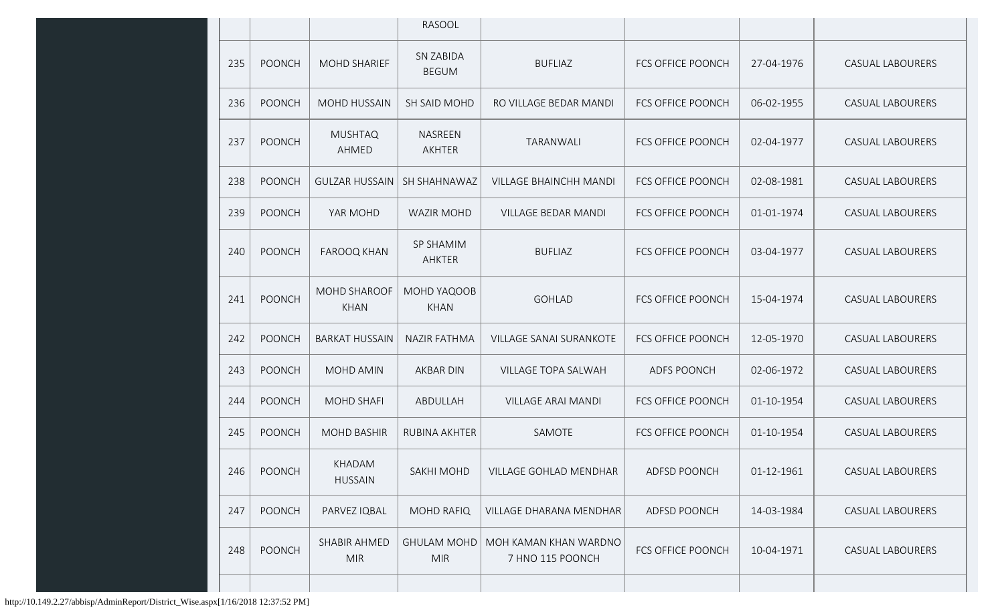|     |               |                                    | RASOOL                           |                                           |                          |            |                         |
|-----|---------------|------------------------------------|----------------------------------|-------------------------------------------|--------------------------|------------|-------------------------|
| 235 | <b>POONCH</b> | MOHD SHARIEF                       | <b>SN ZABIDA</b><br><b>BEGUM</b> | <b>BUFLIAZ</b>                            | <b>FCS OFFICE POONCH</b> | 27-04-1976 | <b>CASUAL LABOURERS</b> |
| 236 | <b>POONCH</b> | <b>MOHD HUSSAIN</b>                | SH SAID MOHD                     | RO VILLAGE BEDAR MANDI                    | <b>FCS OFFICE POONCH</b> | 06-02-1955 | <b>CASUAL LABOURERS</b> |
| 237 | POONCH        | <b>MUSHTAQ</b><br>AHMED            | NASREEN<br>AKHTER                | TARANWALI                                 | <b>FCS OFFICE POONCH</b> | 02-04-1977 | <b>CASUAL LABOURERS</b> |
| 238 | <b>POONCH</b> | <b>GULZAR HUSSAIN</b>              | SH SHAHNAWAZ                     | <b>VILLAGE BHAINCHH MANDI</b>             | <b>FCS OFFICE POONCH</b> | 02-08-1981 | <b>CASUAL LABOURERS</b> |
| 239 | <b>POONCH</b> | YAR MOHD                           | <b>WAZIR MOHD</b>                | <b>VILLAGE BEDAR MANDI</b>                | <b>FCS OFFICE POONCH</b> | 01-01-1974 | <b>CASUAL LABOURERS</b> |
| 240 | <b>POONCH</b> | <b>FAROOQ KHAN</b>                 | SP SHAMIM<br>AHKTER              | <b>BUFLIAZ</b>                            | <b>FCS OFFICE POONCH</b> | 03-04-1977 | <b>CASUAL LABOURERS</b> |
| 241 | <b>POONCH</b> | <b>MOHD SHAROOF</b><br><b>KHAN</b> | MOHD YAQOOB<br><b>KHAN</b>       | <b>GOHLAD</b>                             | <b>FCS OFFICE POONCH</b> | 15-04-1974 | <b>CASUAL LABOURERS</b> |
| 242 | <b>POONCH</b> | <b>BARKAT HUSSAIN</b>              | <b>NAZIR FATHMA</b>              | <b>VILLAGE SANAI SURANKOTE</b>            | <b>FCS OFFICE POONCH</b> | 12-05-1970 | <b>CASUAL LABOURERS</b> |
| 243 | <b>POONCH</b> | MOHD AMIN                          | AKBAR DIN                        | VILLAGE TOPA SALWAH                       | <b>ADFS POONCH</b>       | 02-06-1972 | <b>CASUAL LABOURERS</b> |
| 244 | <b>POONCH</b> | <b>MOHD SHAFI</b>                  | ABDULLAH                         | <b>VILLAGE ARAI MANDI</b>                 | <b>FCS OFFICE POONCH</b> | 01-10-1954 | <b>CASUAL LABOURERS</b> |
| 245 | <b>POONCH</b> | <b>MOHD BASHIR</b>                 | RUBINA AKHTER                    | SAMOTE                                    | <b>FCS OFFICE POONCH</b> | 01-10-1954 | <b>CASUAL LABOURERS</b> |
| 246 | <b>POONCH</b> | KHADAM<br><b>HUSSAIN</b>           | SAKHI MOHD                       | VILLAGE GOHLAD MENDHAR                    | ADFSD POONCH             | 01-12-1961 | <b>CASUAL LABOURERS</b> |
| 247 | POONCH        | PARVEZ IQBAL                       | <b>MOHD RAFIQ</b>                | VILLAGE DHARANA MENDHAR                   | ADFSD POONCH             | 14-03-1984 | CASUAL LABOURERS        |
| 248 | <b>POONCH</b> | SHABIR AHMED<br><b>MIR</b>         | <b>GHULAM MOHD</b><br><b>MIR</b> | MOH KAMAN KHAN WARDNO<br>7 HNO 115 POONCH | FCS OFFICE POONCH        | 10-04-1971 | <b>CASUAL LABOURERS</b> |
|     |               |                                    |                                  |                                           |                          |            |                         |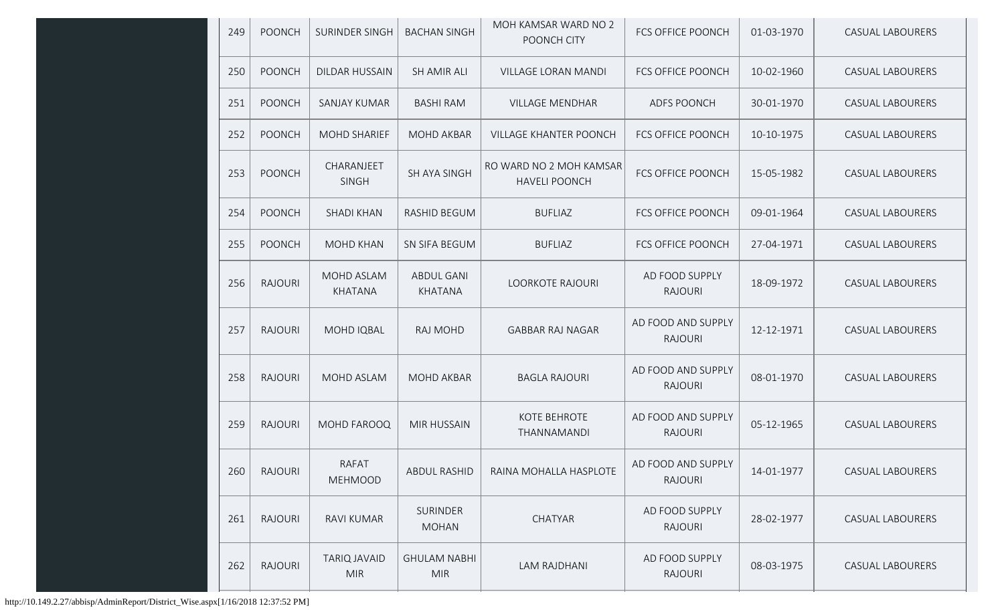| 249 | <b>POONCH</b>  | SURINDER SINGH                    | <b>BACHAN SINGH</b>               | MOH KAMSAR WARD NO 2<br>POONCH CITY             | FCS OFFICE POONCH                    | 01-03-1970 | <b>CASUAL LABOURERS</b> |
|-----|----------------|-----------------------------------|-----------------------------------|-------------------------------------------------|--------------------------------------|------------|-------------------------|
| 250 | <b>POONCH</b>  | <b>DILDAR HUSSAIN</b>             | SH AMIR ALI                       | <b>VILLAGE LORAN MANDI</b>                      | <b>FCS OFFICE POONCH</b>             | 10-02-1960 | <b>CASUAL LABOURERS</b> |
| 251 | <b>POONCH</b>  | SANJAY KUMAR                      | <b>BASHI RAM</b>                  | <b>VILLAGE MENDHAR</b>                          | ADFS POONCH                          | 30-01-1970 | CASUAL LABOURERS        |
| 252 | <b>POONCH</b>  | <b>MOHD SHARIEF</b>               | <b>MOHD AKBAR</b>                 | <b>VILLAGE KHANTER POONCH</b>                   | <b>FCS OFFICE POONCH</b>             | 10-10-1975 | CASUAL LABOURERS        |
| 253 | <b>POONCH</b>  | CHARANJEET<br><b>SINGH</b>        | SH AYA SINGH                      | RO WARD NO 2 MOH KAMSAR<br><b>HAVELI POONCH</b> | <b>FCS OFFICE POONCH</b>             | 15-05-1982 | CASUAL LABOURERS        |
| 254 | <b>POONCH</b>  | <b>SHADI KHAN</b>                 | RASHID BEGUM                      | <b>BUFLIAZ</b>                                  | <b>FCS OFFICE POONCH</b>             | 09-01-1964 | CASUAL LABOURERS        |
| 255 | <b>POONCH</b>  | <b>MOHD KHAN</b>                  | SN SIFA BEGUM                     | <b>BUFLIAZ</b>                                  | <b>FCS OFFICE POONCH</b>             | 27-04-1971 | <b>CASUAL LABOURERS</b> |
| 256 | <b>RAJOURI</b> | MOHD ASLAM<br>KHATANA             | <b>ABDUL GANI</b><br>KHATANA      | <b>LOORKOTE RAJOURI</b>                         | AD FOOD SUPPLY<br><b>RAJOURI</b>     | 18-09-1972 | <b>CASUAL LABOURERS</b> |
| 257 | <b>RAJOURI</b> | MOHD IQBAL                        | RAJ MOHD                          | <b>GABBAR RAJ NAGAR</b>                         | AD FOOD AND SUPPLY<br><b>RAJOURI</b> | 12-12-1971 | <b>CASUAL LABOURERS</b> |
| 258 | <b>RAJOURI</b> | <b>MOHD ASLAM</b>                 | <b>MOHD AKBAR</b>                 | <b>BAGLA RAJOURI</b>                            | AD FOOD AND SUPPLY<br><b>RAJOURI</b> | 08-01-1970 | <b>CASUAL LABOURERS</b> |
| 259 | <b>RAJOURI</b> | MOHD FAROOQ                       | <b>MIR HUSSAIN</b>                | KOTE BEHROTE<br>THANNAMANDI                     | AD FOOD AND SUPPLY<br><b>RAJOURI</b> | 05-12-1965 | <b>CASUAL LABOURERS</b> |
| 260 | RAJOURI        | RAFAT<br><b>MEHMOOD</b>           | <b>ABDUL RASHID</b>               | RAINA MOHALLA HASPLOTE                          | AD FOOD AND SUPPLY<br><b>RAJOURI</b> | 14-01-1977 | <b>CASUAL LABOURERS</b> |
| 261 | <b>RAJOURI</b> | RAVI KUMAR                        | <b>SURINDER</b><br><b>MOHAN</b>   | CHATYAR                                         | AD FOOD SUPPLY<br><b>RAJOURI</b>     | 28-02-1977 | <b>CASUAL LABOURERS</b> |
| 262 | <b>RAJOURI</b> | <b>TARIQ JAVAID</b><br><b>MIR</b> | <b>GHULAM NABHI</b><br><b>MIR</b> | LAM RAJDHANI                                    | AD FOOD SUPPLY<br><b>RAJOURI</b>     | 08-03-1975 | CASUAL LABOURERS        |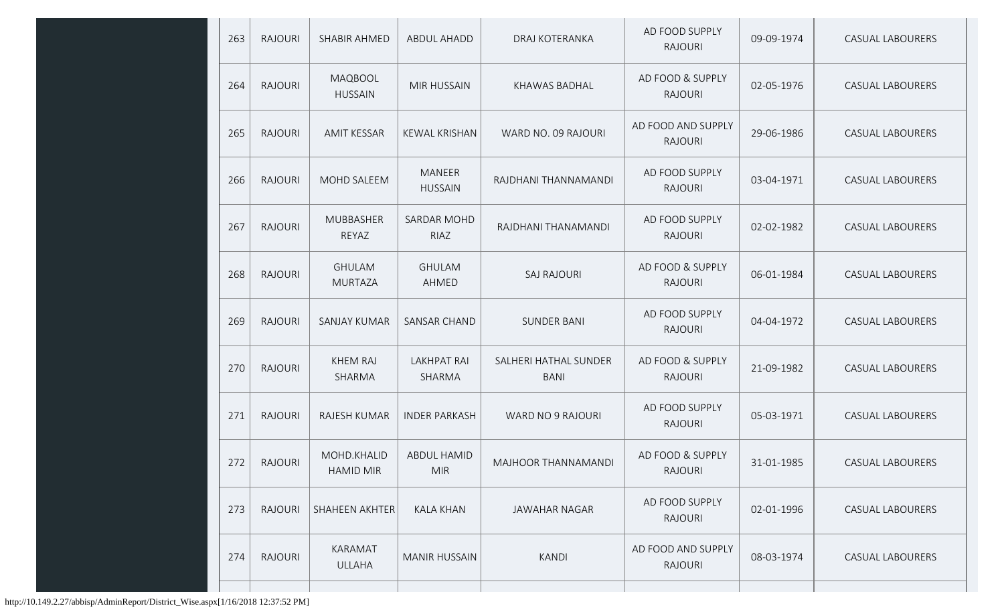| 263 | <b>RAJOURI</b> | SHABIR AHMED                    | <b>ABDUL AHADD</b>               | DRAJ KOTERANKA                       | AD FOOD SUPPLY<br><b>RAJOURI</b>     | 09-09-1974 | <b>CASUAL LABOURERS</b> |
|-----|----------------|---------------------------------|----------------------------------|--------------------------------------|--------------------------------------|------------|-------------------------|
| 264 | <b>RAJOURI</b> | MAQBOOL<br><b>HUSSAIN</b>       | <b>MIR HUSSAIN</b>               | KHAWAS BADHAL                        | AD FOOD & SUPPLY<br><b>RAJOURI</b>   | 02-05-1976 | <b>CASUAL LABOURERS</b> |
| 265 | <b>RAJOURI</b> | <b>AMIT KESSAR</b>              | <b>KEWAL KRISHAN</b>             | WARD NO. 09 RAJOURI                  | AD FOOD AND SUPPLY<br><b>RAJOURI</b> | 29-06-1986 | <b>CASUAL LABOURERS</b> |
| 266 | <b>RAJOURI</b> | MOHD SALEEM                     | MANEER<br><b>HUSSAIN</b>         | RAJDHANI THANNAMANDI                 | AD FOOD SUPPLY<br><b>RAJOURI</b>     | 03-04-1971 | <b>CASUAL LABOURERS</b> |
| 267 | <b>RAJOURI</b> | <b>MUBBASHER</b><br>REYAZ       | SARDAR MOHD<br>RIAZ              | RAJDHANI THANAMANDI                  | AD FOOD SUPPLY<br><b>RAJOURI</b>     | 02-02-1982 | <b>CASUAL LABOURERS</b> |
| 268 | <b>RAJOURI</b> | <b>GHULAM</b><br><b>MURTAZA</b> | <b>GHULAM</b><br>AHMED           | <b>SAJ RAJOURI</b>                   | AD FOOD & SUPPLY<br><b>RAJOURI</b>   | 06-01-1984 | <b>CASUAL LABOURERS</b> |
| 269 | <b>RAJOURI</b> | <b>SANJAY KUMAR</b>             | SANSAR CHAND                     | <b>SUNDER BANI</b>                   | AD FOOD SUPPLY<br><b>RAJOURI</b>     | 04-04-1972 | <b>CASUAL LABOURERS</b> |
| 270 | <b>RAJOURI</b> | <b>KHEM RAJ</b><br>SHARMA       | <b>LAKHPAT RAI</b><br>SHARMA     | SALHERI HATHAL SUNDER<br><b>BANI</b> | AD FOOD & SUPPLY<br><b>RAJOURI</b>   | 21-09-1982 | <b>CASUAL LABOURERS</b> |
| 271 | <b>RAJOURI</b> | <b>RAJESH KUMAR</b>             | <b>INDER PARKASH</b>             | WARD NO 9 RAJOURI                    | AD FOOD SUPPLY<br><b>RAJOURI</b>     | 05-03-1971 | <b>CASUAL LABOURERS</b> |
| 272 | <b>RAJOURI</b> | MOHD.KHALID<br><b>HAMID MIR</b> | <b>ABDUL HAMID</b><br><b>MIR</b> | MAJHOOR THANNAMANDI                  | AD FOOD & SUPPLY<br><b>RAJOURI</b>   | 31-01-1985 | CASUAL LABOURERS        |
| 273 | <b>RAJOURI</b> | SHAHEEN AKHTER                  | <b>KALA KHAN</b>                 | <b>JAWAHAR NAGAR</b>                 | AD FOOD SUPPLY<br><b>RAJOURI</b>     | 02-01-1996 | <b>CASUAL LABOURERS</b> |
| 274 | <b>RAJOURI</b> | KARAMAT<br><b>ULLAHA</b>        | <b>MANIR HUSSAIN</b>             | <b>KANDI</b>                         | AD FOOD AND SUPPLY<br><b>RAJOURI</b> | 08-03-1974 | CASUAL LABOURERS        |
|     |                |                                 |                                  |                                      |                                      |            |                         |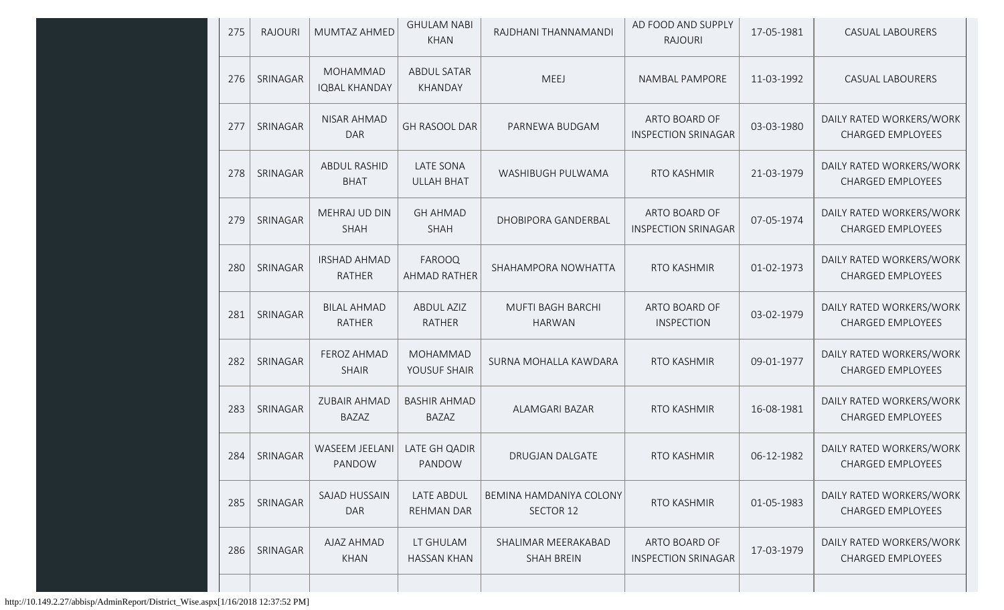| 275<br><b>RAJOURI</b> | MUMTAZ AHMED                            | <b>GHULAM NABI</b><br><b>KHAN</b>   | RAJDHANI THANNAMANDI                      | AD FOOD AND SUPPLY<br><b>RAJOURI</b>        | 17-05-1981 | CASUAL LABOURERS                                     |
|-----------------------|-----------------------------------------|-------------------------------------|-------------------------------------------|---------------------------------------------|------------|------------------------------------------------------|
| SRINAGAR<br>276       | <b>MOHAMMAD</b><br><b>IQBAL KHANDAY</b> | <b>ABDUL SATAR</b><br>KHANDAY       | MEEJ                                      | NAMBAL PAMPORE                              | 11-03-1992 | <b>CASUAL LABOURERS</b>                              |
| SRINAGAR<br>277       | NISAR AHMAD<br><b>DAR</b>               | <b>GH RASOOL DAR</b>                | PARNEWA BUDGAM                            | ARTO BOARD OF<br><b>INSPECTION SRINAGAR</b> | 03-03-1980 | DAILY RATED WORKERS/WORK<br><b>CHARGED EMPLOYEES</b> |
| SRINAGAR<br>278       | ABDUL RASHID<br><b>BHAT</b>             | LATE SONA<br><b>ULLAH BHAT</b>      | WASHIBUGH PULWAMA                         | RTO KASHMIR                                 | 21-03-1979 | DAILY RATED WORKERS/WORK<br><b>CHARGED EMPLOYEES</b> |
| SRINAGAR<br>279       | MEHRAJ UD DIN<br><b>SHAH</b>            | <b>GH AHMAD</b><br><b>SHAH</b>      | DHOBIPORA GANDERBAL                       | ARTO BOARD OF<br><b>INSPECTION SRINAGAR</b> | 07-05-1974 | DAILY RATED WORKERS/WORK<br><b>CHARGED EMPLOYEES</b> |
| SRINAGAR<br>280       | <b>IRSHAD AHMAD</b><br><b>RATHER</b>    | FAROOQ<br>AHMAD RATHER              | SHAHAMPORA NOWHATTA                       | RTO KASHMIR                                 | 01-02-1973 | DAILY RATED WORKERS/WORK<br><b>CHARGED EMPLOYEES</b> |
| 281<br>SRINAGAR       | <b>BILAL AHMAD</b><br><b>RATHER</b>     | <b>ABDUL AZIZ</b><br><b>RATHER</b>  | <b>MUFTI BAGH BARCHI</b><br><b>HARWAN</b> | ARTO BOARD OF<br><b>INSPECTION</b>          | 03-02-1979 | DAILY RATED WORKERS/WORK<br><b>CHARGED EMPLOYEES</b> |
| SRINAGAR<br>282       | FEROZ AHMAD<br><b>SHAIR</b>             | <b>MOHAMMAD</b><br>YOUSUF SHAIR     | SURNA MOHALLA KAWDARA                     | RTO KASHMIR                                 | 09-01-1977 | DAILY RATED WORKERS/WORK<br><b>CHARGED EMPLOYEES</b> |
| 283<br>SRINAGAR       | <b>ZUBAIR AHMAD</b><br><b>BAZAZ</b>     | <b>BASHIR AHMAD</b><br><b>BAZAZ</b> | ALAMGARI BAZAR                            | RTO KASHMIR                                 | 16-08-1981 | DAILY RATED WORKERS/WORK<br><b>CHARGED EMPLOYEES</b> |
| SRINAGAR<br>284       | WASEEM JEELANI<br>PANDOW                | LATE GH QADIR<br>PANDOW             | <b>DRUGJAN DALGATE</b>                    | RTO KASHMIR                                 | 06-12-1982 | DAILY RATED WORKERS/WORK<br>CHARGED EMPLOYEES        |
| 285<br>SRINAGAR       | SAJAD HUSSAIN<br><b>DAR</b>             | LATE ABDUL<br><b>REHMAN DAR</b>     | BEMINA HAMDANIYA COLONY<br>SECTOR 12      | RTO KASHMIR                                 | 01-05-1983 | DAILY RATED WORKERS/WORK<br><b>CHARGED EMPLOYEES</b> |
| 286<br>SRINAGAR       | AJAZ AHMAD<br><b>KHAN</b>               | LT GHULAM<br><b>HASSAN KHAN</b>     | SHALIMAR MEERAKABAD<br><b>SHAH BREIN</b>  | ARTO BOARD OF<br><b>INSPECTION SRINAGAR</b> | 17-03-1979 | DAILY RATED WORKERS/WORK<br><b>CHARGED EMPLOYEES</b> |
|                       |                                         |                                     |                                           |                                             |            |                                                      |